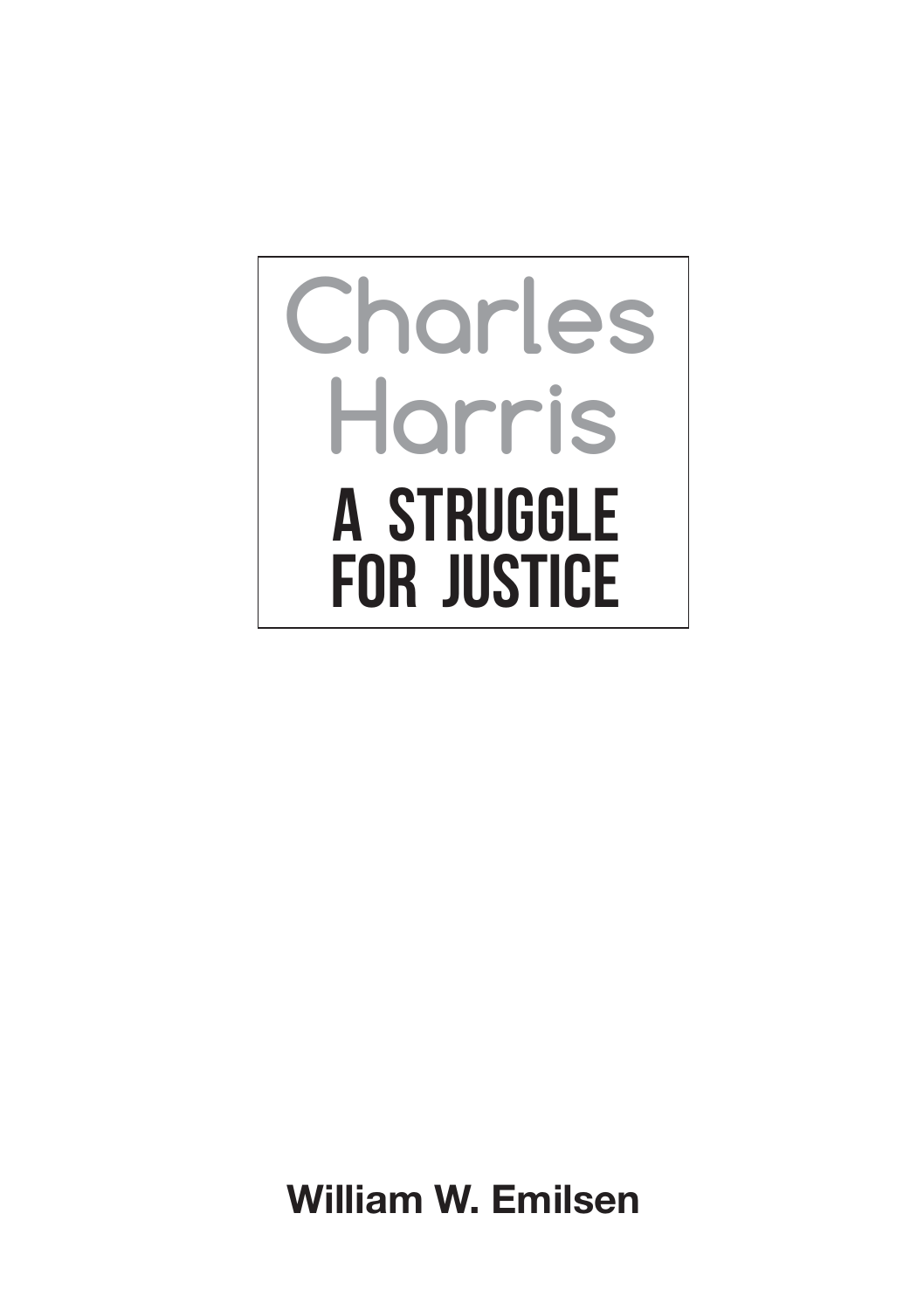# **Charles Harris A Struggle for Justice**

William W. Emilsen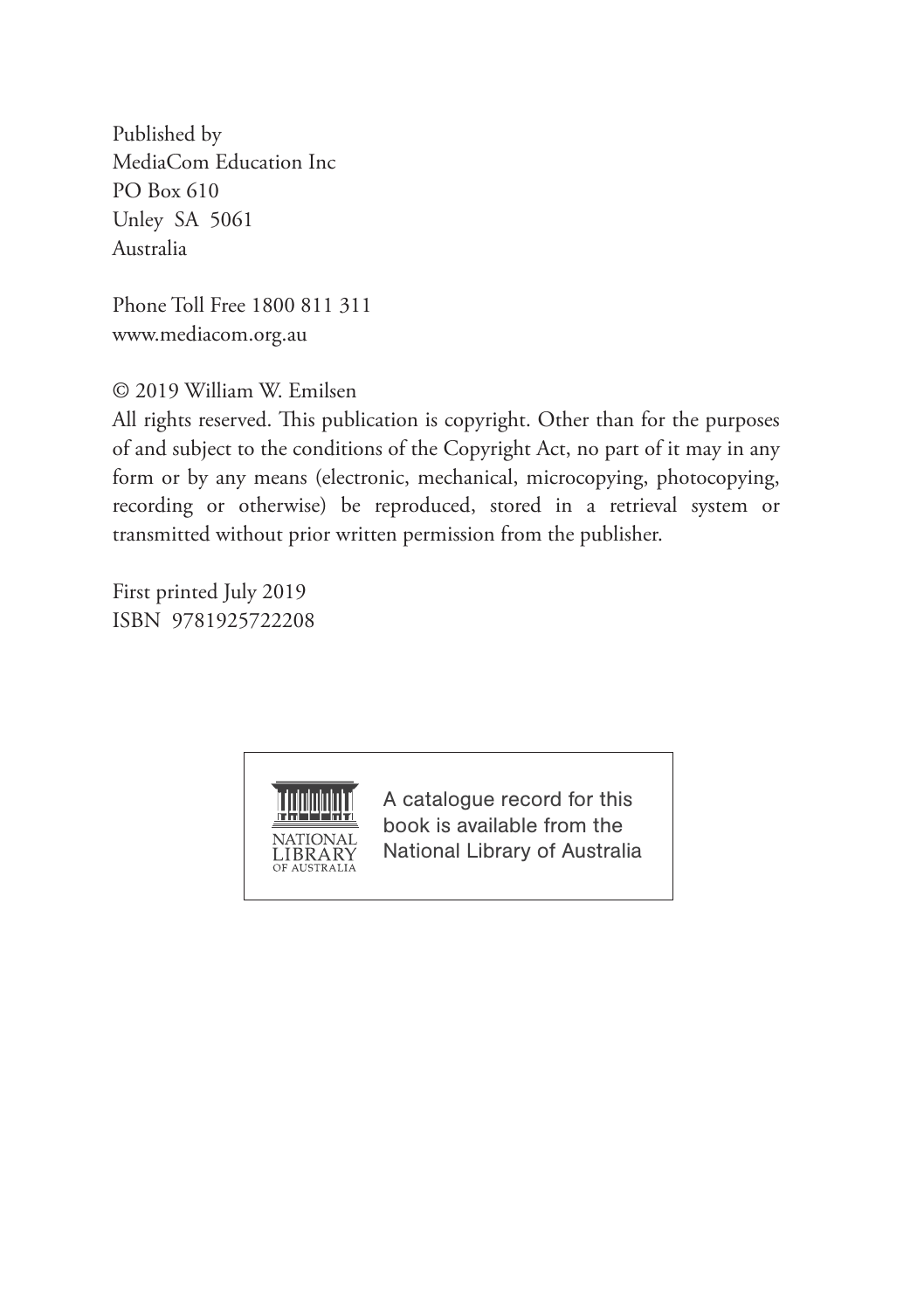Published by MediaCom Education Inc PO Box 610 Unley SA 5061 Australia

Phone Toll Free 1800 811 311 www.mediacom.org.au

© 2019 William W. Emilsen

All rights reserved. This publication is copyright. Other than for the purposes of and subject to the conditions of the Copyright Act, no part of it may in any form or by any means (electronic, mechanical, microcopying, photocopying, recording or otherwise) be reproduced, stored in a retrieval system or transmitted without prior written permission from the publisher.

First printed July 2019 ISBN 9781925722208



A catalogue record for this book is available from the National Library of Australia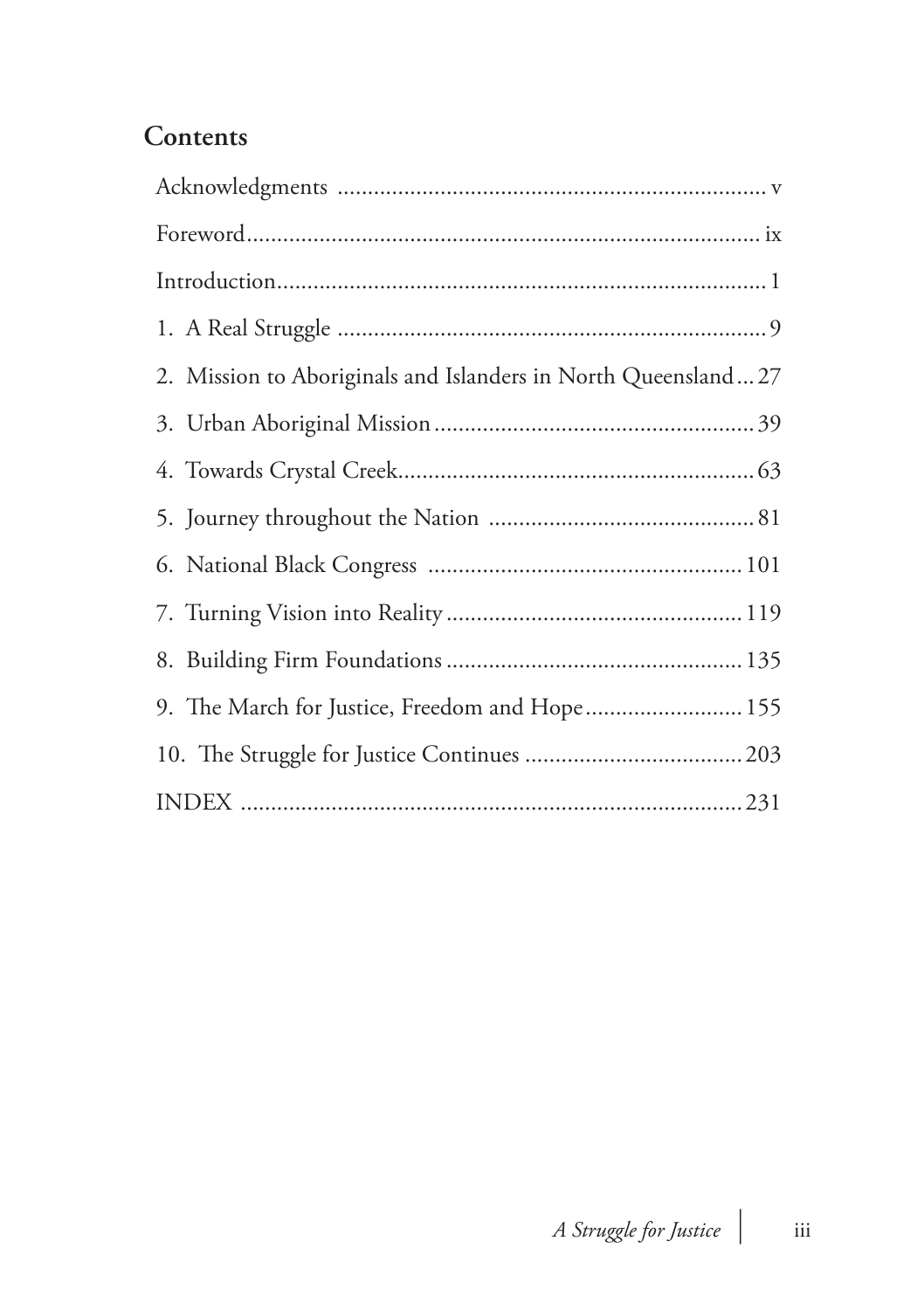#### **Contents**

| 2. Mission to Aboriginals and Islanders in North Queensland27 |  |
|---------------------------------------------------------------|--|
|                                                               |  |
|                                                               |  |
|                                                               |  |
|                                                               |  |
|                                                               |  |
|                                                               |  |
| 9. The March for Justice, Freedom and Hope 155                |  |
|                                                               |  |
|                                                               |  |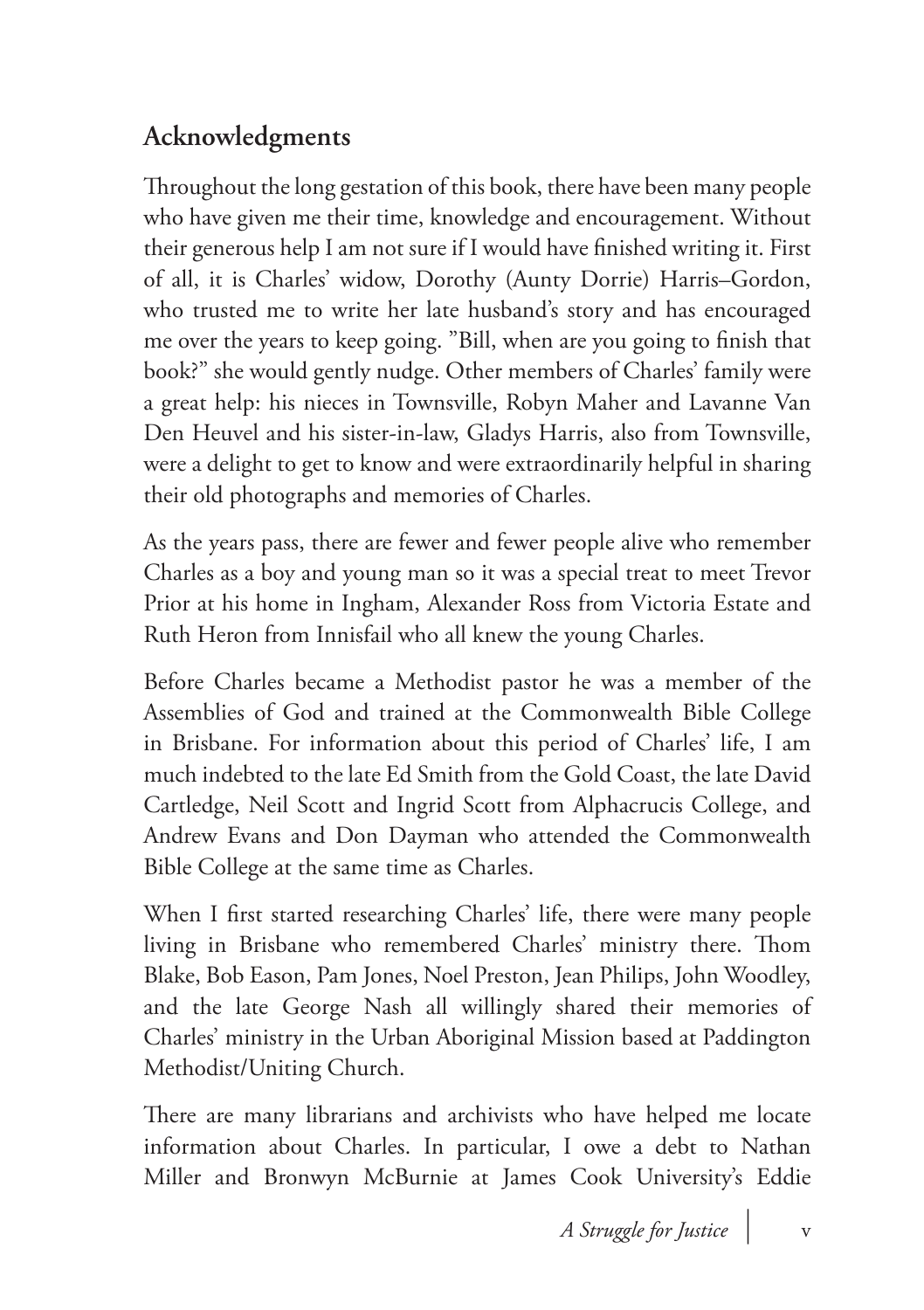# **Acknowledgments**

Throughout the long gestation of this book, there have been many people who have given me their time, knowledge and encouragement. Without their generous help I am not sure if I would have finished writing it. First of all, it is Charles' widow, Dorothy (Aunty Dorrie) Harris–Gordon, who trusted me to write her late husband's story and has encouraged me over the years to keep going. "Bill, when are you going to finish that book?" she would gently nudge. Other members of Charles' family were a great help: his nieces in Townsville, Robyn Maher and Lavanne Van Den Heuvel and his sister-in-law, Gladys Harris, also from Townsville, were a delight to get to know and were extraordinarily helpful in sharing their old photographs and memories of Charles.

As the years pass, there are fewer and fewer people alive who remember Charles as a boy and young man so it was a special treat to meet Trevor Prior at his home in Ingham, Alexander Ross from Victoria Estate and Ruth Heron from Innisfail who all knew the young Charles.

Before Charles became a Methodist pastor he was a member of the Assemblies of God and trained at the Commonwealth Bible College in Brisbane. For information about this period of Charles' life, I am much indebted to the late Ed Smith from the Gold Coast, the late David Cartledge, Neil Scott and Ingrid Scott from Alphacrucis College, and Andrew Evans and Don Dayman who attended the Commonwealth Bible College at the same time as Charles.

When I first started researching Charles' life, there were many people living in Brisbane who remembered Charles' ministry there. Thom Blake, Bob Eason, Pam Jones, Noel Preston, Jean Philips, John Woodley, and the late George Nash all willingly shared their memories of Charles' ministry in the Urban Aboriginal Mission based at Paddington Methodist/Uniting Church.

There are many librarians and archivists who have helped me locate information about Charles. In particular, I owe a debt to Nathan Miller and Bronwyn McBurnie at James Cook University's Eddie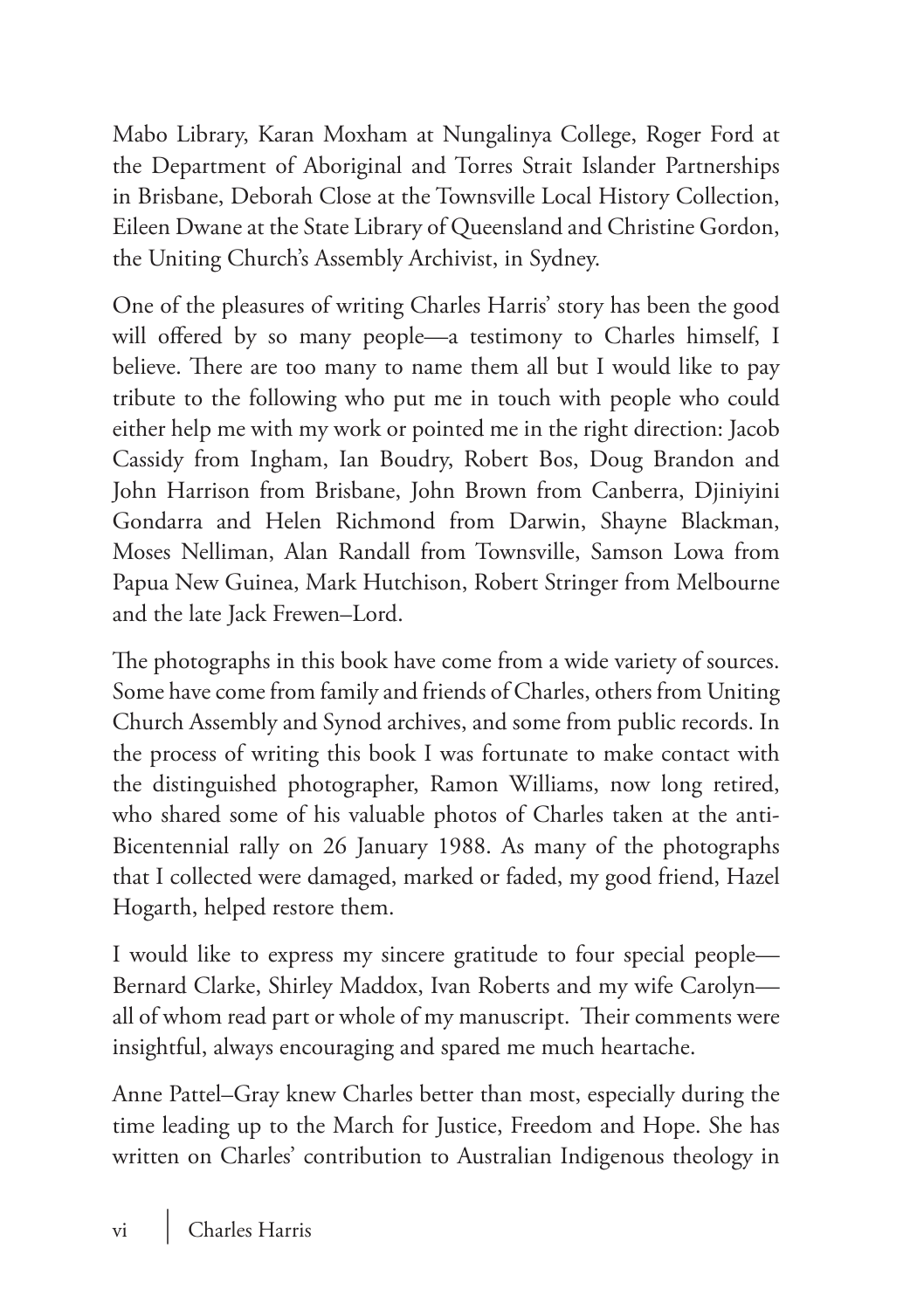Mabo Library, Karan Moxham at Nungalinya College, Roger Ford at the Department of Aboriginal and Torres Strait Islander Partnerships in Brisbane, Deborah Close at the Townsville Local History Collection, Eileen Dwane at the State Library of Queensland and Christine Gordon, the Uniting Church's Assembly Archivist, in Sydney.

One of the pleasures of writing Charles Harris' story has been the good will offered by so many people—a testimony to Charles himself, I believe. There are too many to name them all but I would like to pay tribute to the following who put me in touch with people who could either help me with my work or pointed me in the right direction: Jacob Cassidy from Ingham, Ian Boudry, Robert Bos, Doug Brandon and John Harrison from Brisbane, John Brown from Canberra, Djiniyini Gondarra and Helen Richmond from Darwin, Shayne Blackman, Moses Nelliman, Alan Randall from Townsville, Samson Lowa from Papua New Guinea, Mark Hutchison, Robert Stringer from Melbourne and the late Jack Frewen–Lord.

The photographs in this book have come from a wide variety of sources. Some have come from family and friends of Charles, others from Uniting Church Assembly and Synod archives, and some from public records. In the process of writing this book I was fortunate to make contact with the distinguished photographer, Ramon Williams, now long retired, who shared some of his valuable photos of Charles taken at the anti-Bicentennial rally on 26 January 1988. As many of the photographs that I collected were damaged, marked or faded, my good friend, Hazel Hogarth, helped restore them.

I would like to express my sincere gratitude to four special people— Bernard Clarke, Shirley Maddox, Ivan Roberts and my wife Carolyn all of whom read part or whole of my manuscript. Their comments were insightful, always encouraging and spared me much heartache.

Anne Pattel–Gray knew Charles better than most, especially during the time leading up to the March for Justice, Freedom and Hope. She has written on Charles' contribution to Australian Indigenous theology in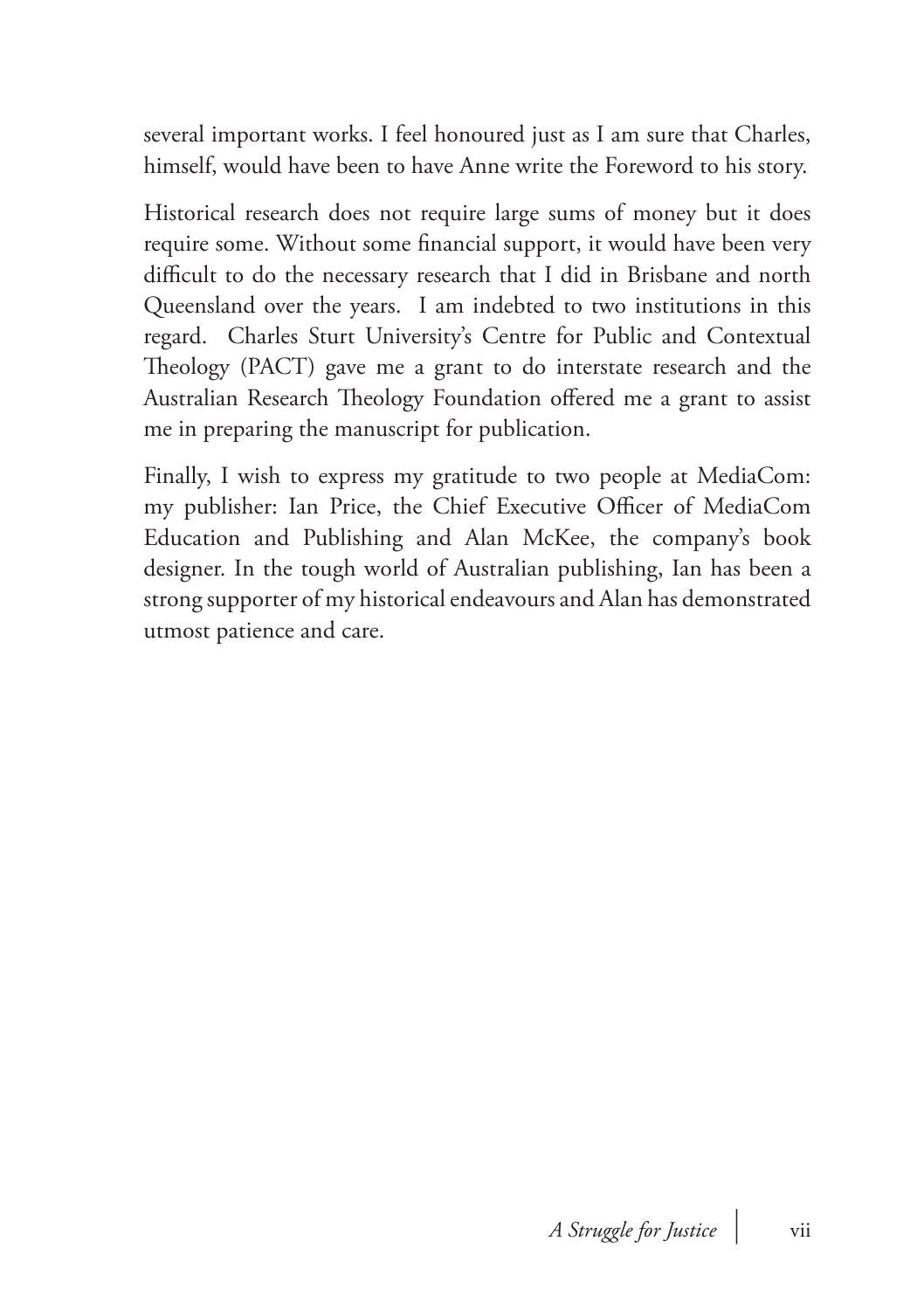several important works. I feel honoured just as I am sure that Charles, himself, would have been to have Anne write the Foreword to his story.

Historical research does not require large sums of money but it does require some. Without some financial support, it would have been very difficult to do the necessary research that I did in Brisbane and north Queensland over the years. I am indebted to two institutions in this regard. Charles Sturt University's Centre for Public and Contextual Theology (PACT) gave me a grant to do interstate research and the Australian Research Theology Foundation offered me a grant to assist me in preparing the manuscript for publication.

Finally, I wish to express my gratitude to two people at MediaCom: my publisher: Ian Price, the Chief Executive Officer of MediaCom Education and Publishing and Alan McKee, the company's book designer. In the tough world of Australian publishing, Ian has been a strong supporter of my historical endeavours and Alan has demonstrated utmost patience and care.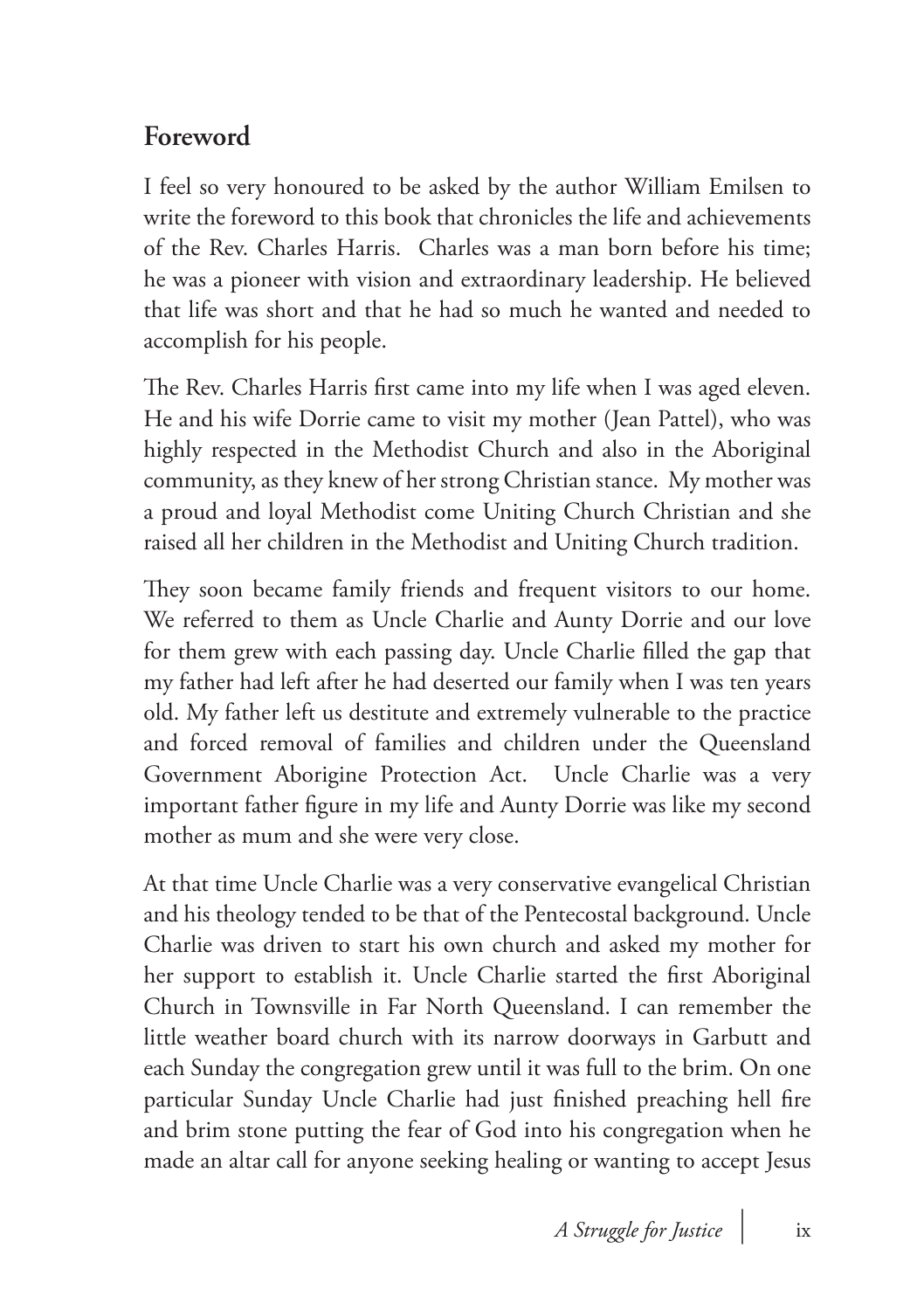### **Foreword**

I feel so very honoured to be asked by the author William Emilsen to write the foreword to this book that chronicles the life and achievements of the Rev. Charles Harris. Charles was a man born before his time; he was a pioneer with vision and extraordinary leadership. He believed that life was short and that he had so much he wanted and needed to accomplish for his people.

The Rev. Charles Harris first came into my life when I was aged eleven. He and his wife Dorrie came to visit my mother (Jean Pattel), who was highly respected in the Methodist Church and also in the Aboriginal community, as they knew of her strong Christian stance. My mother was a proud and loyal Methodist come Uniting Church Christian and she raised all her children in the Methodist and Uniting Church tradition.

They soon became family friends and frequent visitors to our home. We referred to them as Uncle Charlie and Aunty Dorrie and our love for them grew with each passing day. Uncle Charlie filled the gap that my father had left after he had deserted our family when I was ten years old. My father left us destitute and extremely vulnerable to the practice and forced removal of families and children under the Queensland Government Aborigine Protection Act. Uncle Charlie was a very important father figure in my life and Aunty Dorrie was like my second mother as mum and she were very close.

At that time Uncle Charlie was a very conservative evangelical Christian and his theology tended to be that of the Pentecostal background. Uncle Charlie was driven to start his own church and asked my mother for her support to establish it. Uncle Charlie started the first Aboriginal Church in Townsville in Far North Queensland. I can remember the little weather board church with its narrow doorways in Garbutt and each Sunday the congregation grew until it was full to the brim. On one particular Sunday Uncle Charlie had just finished preaching hell fire and brim stone putting the fear of God into his congregation when he made an altar call for anyone seeking healing or wanting to accept Jesus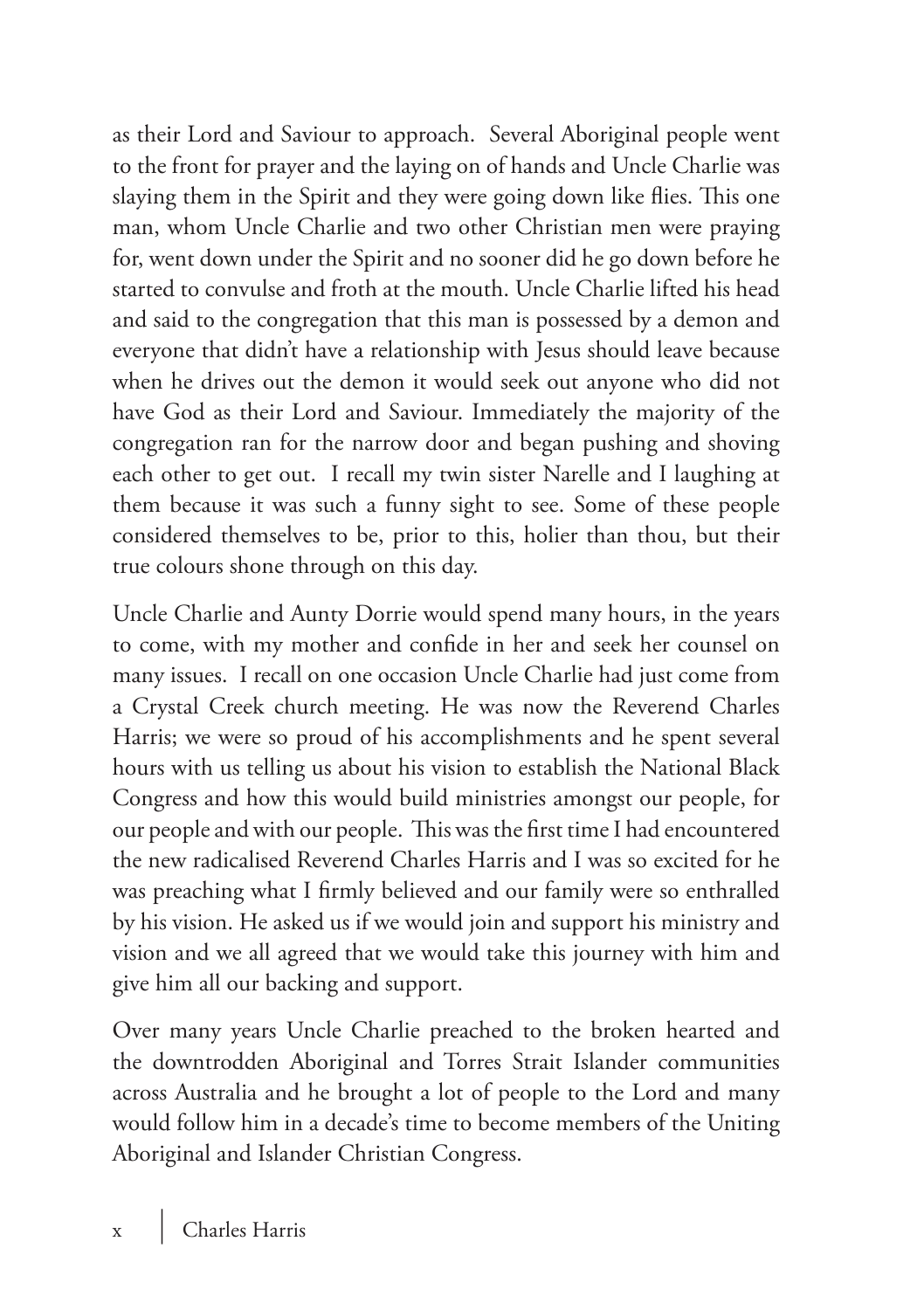as their Lord and Saviour to approach. Several Aboriginal people went to the front for prayer and the laying on of hands and Uncle Charlie was slaying them in the Spirit and they were going down like flies. This one man, whom Uncle Charlie and two other Christian men were praying for, went down under the Spirit and no sooner did he go down before he started to convulse and froth at the mouth. Uncle Charlie lifted his head and said to the congregation that this man is possessed by a demon and everyone that didn't have a relationship with Jesus should leave because when he drives out the demon it would seek out anyone who did not have God as their Lord and Saviour. Immediately the majority of the congregation ran for the narrow door and began pushing and shoving each other to get out. I recall my twin sister Narelle and I laughing at them because it was such a funny sight to see. Some of these people considered themselves to be, prior to this, holier than thou, but their true colours shone through on this day.

Uncle Charlie and Aunty Dorrie would spend many hours, in the years to come, with my mother and confide in her and seek her counsel on many issues. I recall on one occasion Uncle Charlie had just come from a Crystal Creek church meeting. He was now the Reverend Charles Harris; we were so proud of his accomplishments and he spent several hours with us telling us about his vision to establish the National Black Congress and how this would build ministries amongst our people, for our people and with our people. This was the first time I had encountered the new radicalised Reverend Charles Harris and I was so excited for he was preaching what I firmly believed and our family were so enthralled by his vision. He asked us if we would join and support his ministry and vision and we all agreed that we would take this journey with him and give him all our backing and support.

Over many years Uncle Charlie preached to the broken hearted and the downtrodden Aboriginal and Torres Strait Islander communities across Australia and he brought a lot of people to the Lord and many would follow him in a decade's time to become members of the Uniting Aboriginal and Islander Christian Congress.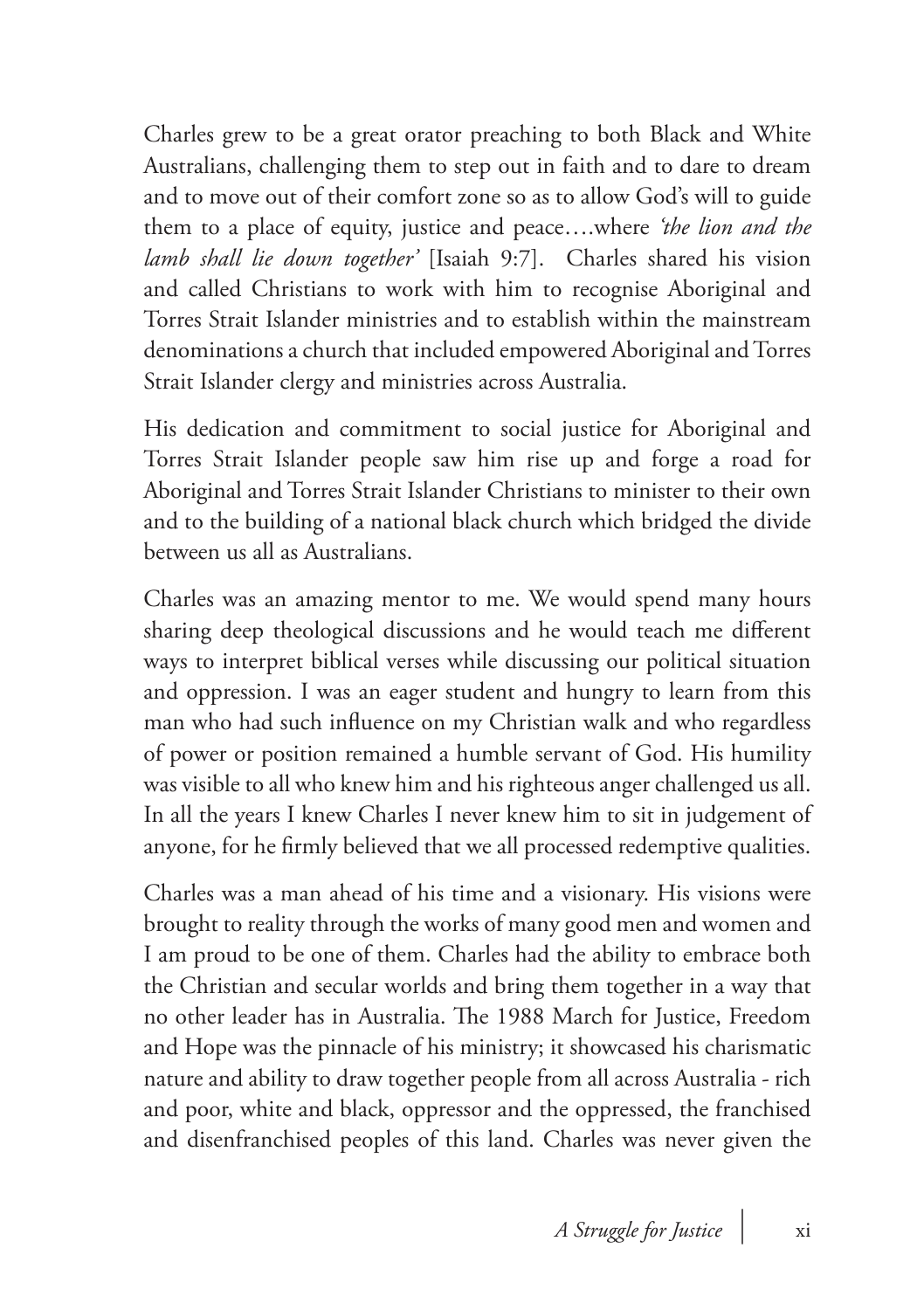Charles grew to be a great orator preaching to both Black and White Australians, challenging them to step out in faith and to dare to dream and to move out of their comfort zone so as to allow God's will to guide them to a place of equity, justice and peace….where *'the lion and the lamb shall lie down together'* [Isaiah 9:7]. Charles shared his vision and called Christians to work with him to recognise Aboriginal and Torres Strait Islander ministries and to establish within the mainstream denominations a church that included empowered Aboriginal and Torres Strait Islander clergy and ministries across Australia.

His dedication and commitment to social justice for Aboriginal and Torres Strait Islander people saw him rise up and forge a road for Aboriginal and Torres Strait Islander Christians to minister to their own and to the building of a national black church which bridged the divide between us all as Australians.

Charles was an amazing mentor to me. We would spend many hours sharing deep theological discussions and he would teach me different ways to interpret biblical verses while discussing our political situation and oppression. I was an eager student and hungry to learn from this man who had such influence on my Christian walk and who regardless of power or position remained a humble servant of God. His humility was visible to all who knew him and his righteous anger challenged us all. In all the years I knew Charles I never knew him to sit in judgement of anyone, for he firmly believed that we all processed redemptive qualities.

Charles was a man ahead of his time and a visionary. His visions were brought to reality through the works of many good men and women and I am proud to be one of them. Charles had the ability to embrace both the Christian and secular worlds and bring them together in a way that no other leader has in Australia. The 1988 March for Justice, Freedom and Hope was the pinnacle of his ministry; it showcased his charismatic nature and ability to draw together people from all across Australia - rich and poor, white and black, oppressor and the oppressed, the franchised and disenfranchised peoples of this land. Charles was never given the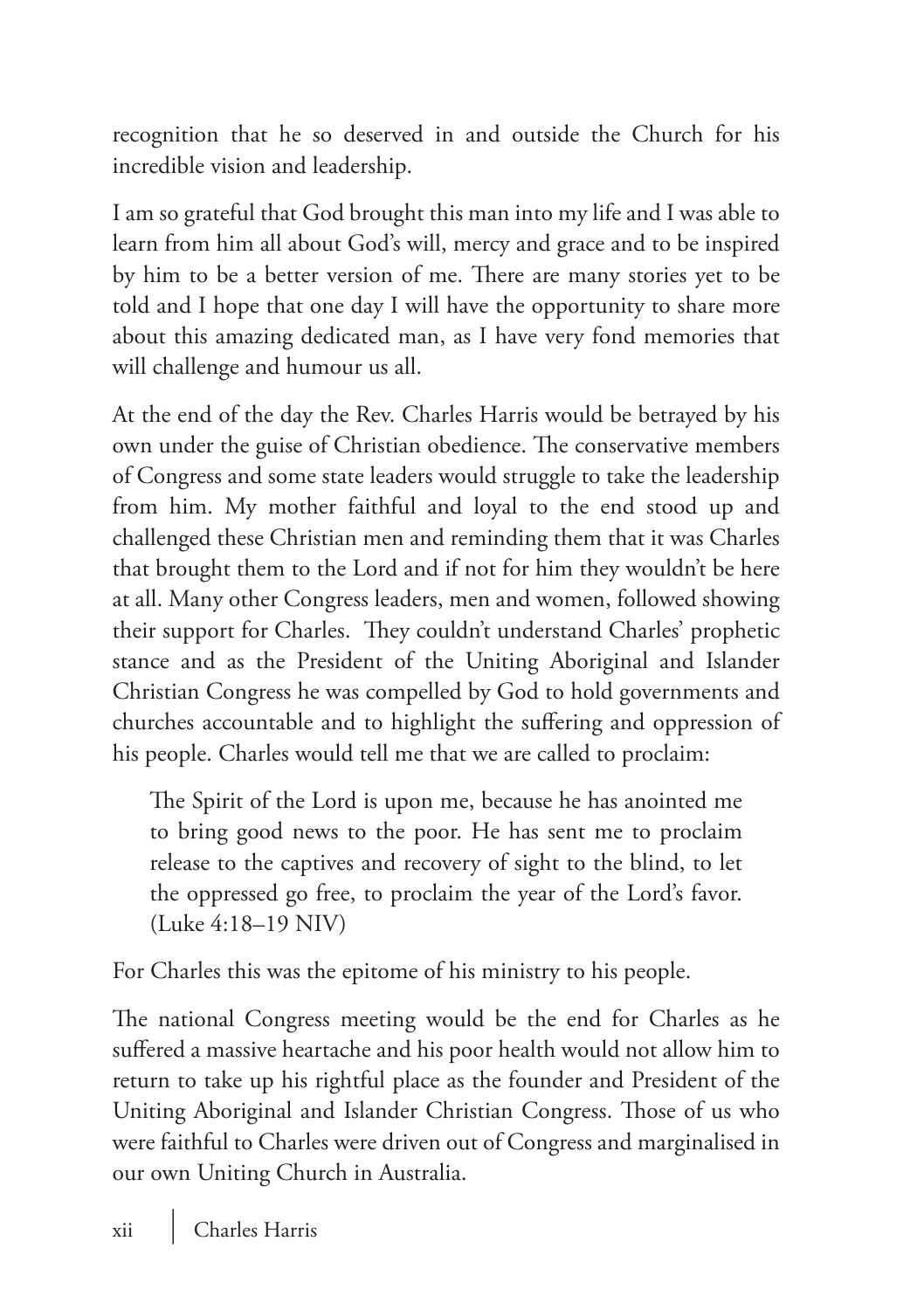recognition that he so deserved in and outside the Church for his incredible vision and leadership.

I am so grateful that God brought this man into my life and I was able to learn from him all about God's will, mercy and grace and to be inspired by him to be a better version of me. There are many stories yet to be told and I hope that one day I will have the opportunity to share more about this amazing dedicated man, as I have very fond memories that will challenge and humour us all.

At the end of the day the Rev. Charles Harris would be betrayed by his own under the guise of Christian obedience. The conservative members of Congress and some state leaders would struggle to take the leadership from him. My mother faithful and loyal to the end stood up and challenged these Christian men and reminding them that it was Charles that brought them to the Lord and if not for him they wouldn't be here at all. Many other Congress leaders, men and women, followed showing their support for Charles. They couldn't understand Charles' prophetic stance and as the President of the Uniting Aboriginal and Islander Christian Congress he was compelled by God to hold governments and churches accountable and to highlight the suffering and oppression of his people. Charles would tell me that we are called to proclaim:

The Spirit of the Lord is upon me, because he has anointed me to bring good news to the poor. He has sent me to proclaim release to the captives and recovery of sight to the blind, to let the oppressed go free, to proclaim the year of the Lord's favor. (Luke 4:18–19 NIV)

For Charles this was the epitome of his ministry to his people.

The national Congress meeting would be the end for Charles as he suffered a massive heartache and his poor health would not allow him to return to take up his rightful place as the founder and President of the Uniting Aboriginal and Islander Christian Congress. Those of us who were faithful to Charles were driven out of Congress and marginalised in our own Uniting Church in Australia.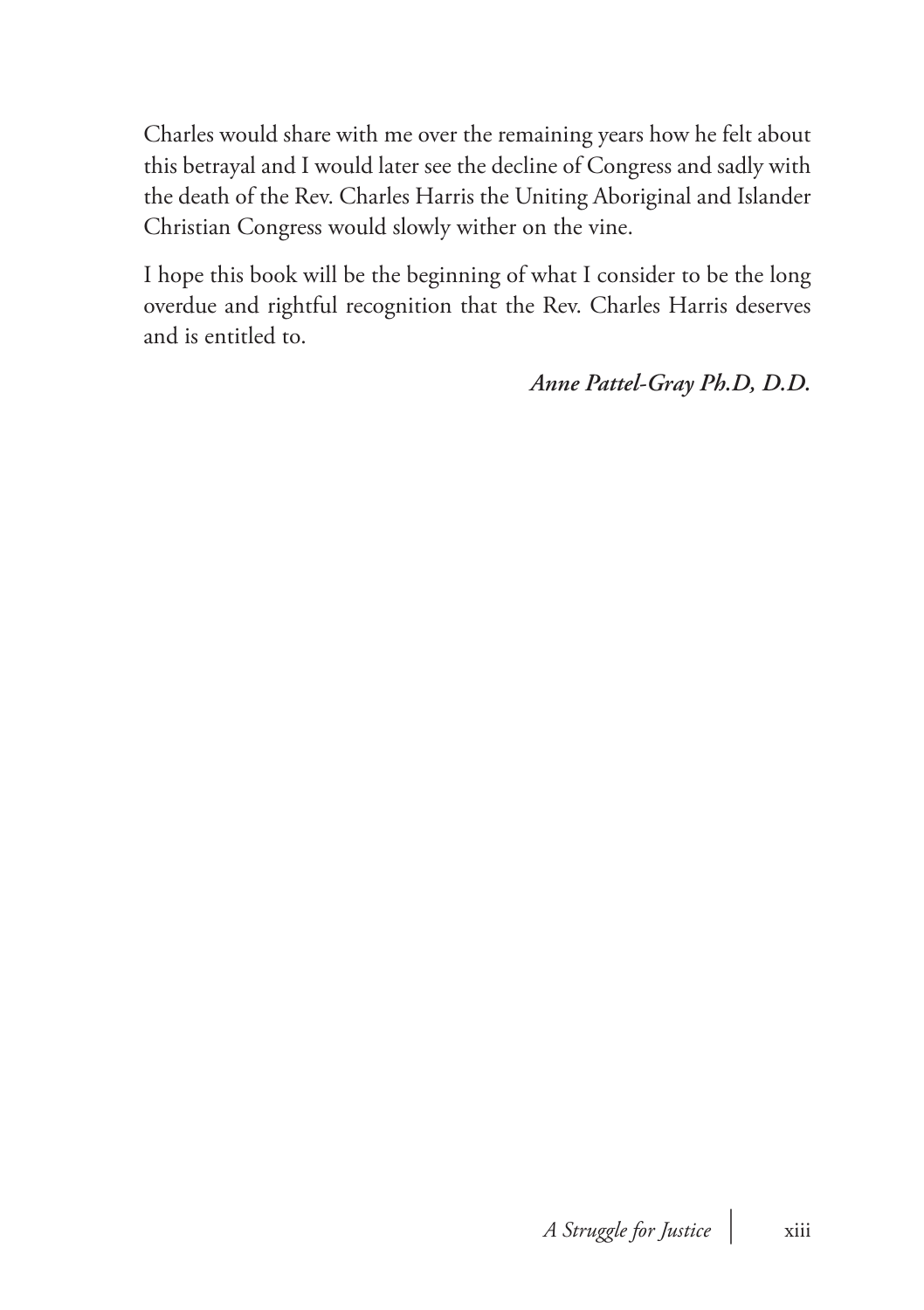Charles would share with me over the remaining years how he felt about this betrayal and I would later see the decline of Congress and sadly with the death of the Rev. Charles Harris the Uniting Aboriginal and Islander Christian Congress would slowly wither on the vine.

I hope this book will be the beginning of what I consider to be the long overdue and rightful recognition that the Rev. Charles Harris deserves and is entitled to.

*Anne Pattel-Gray Ph.D, D.D.*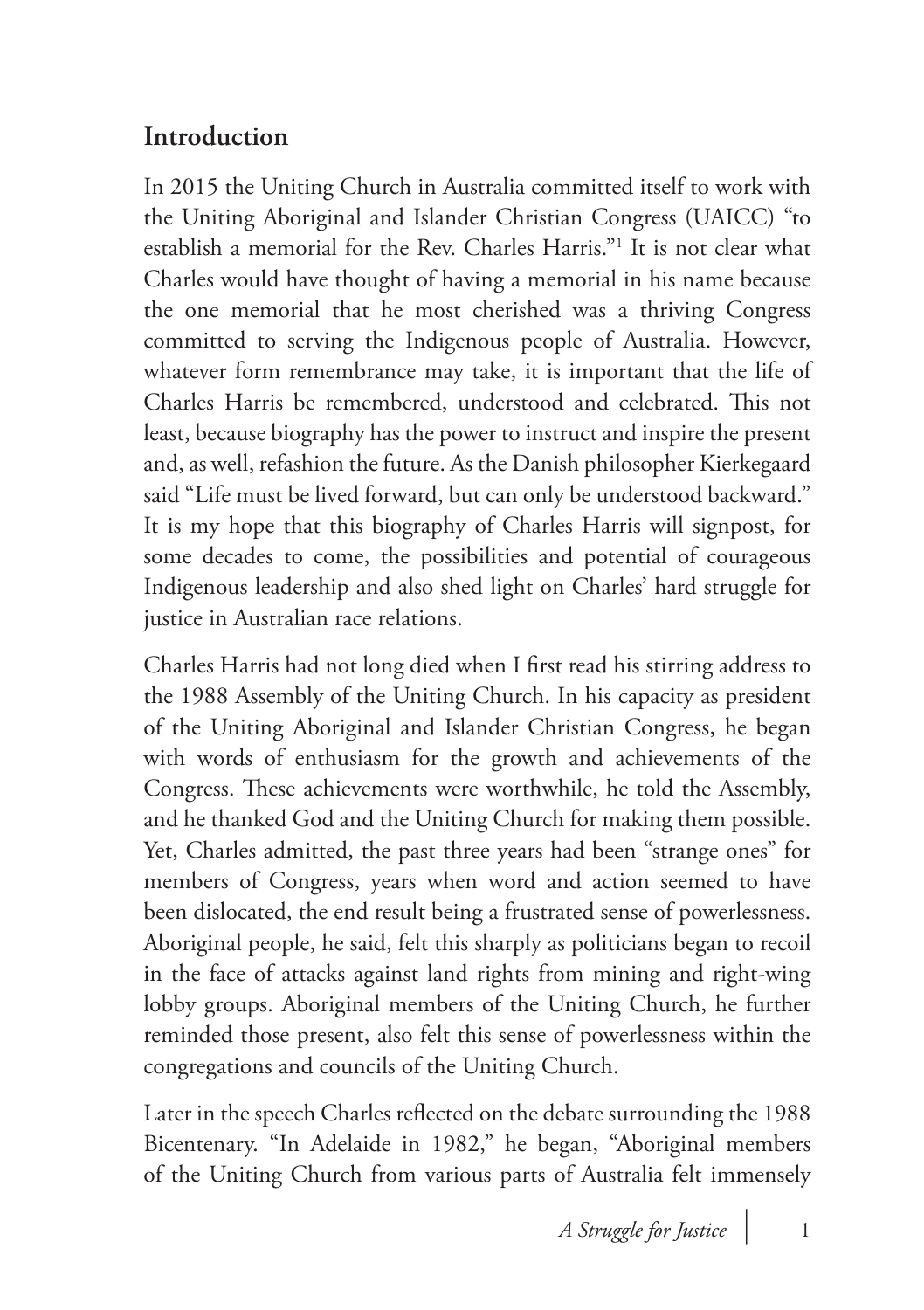## **Introduction**

In 2015 the Uniting Church in Australia committed itself to work with the Uniting Aboriginal and Islander Christian Congress (UAICC) "to establish a memorial for the Rev. Charles Harris."1 It is not clear what Charles would have thought of having a memorial in his name because the one memorial that he most cherished was a thriving Congress committed to serving the Indigenous people of Australia. However, whatever form remembrance may take, it is important that the life of Charles Harris be remembered, understood and celebrated. This not least, because biography has the power to instruct and inspire the present and, as well, refashion the future. As the Danish philosopher Kierkegaard said "Life must be lived forward, but can only be understood backward." It is my hope that this biography of Charles Harris will signpost, for some decades to come, the possibilities and potential of courageous Indigenous leadership and also shed light on Charles' hard struggle for justice in Australian race relations.

Charles Harris had not long died when I first read his stirring address to the 1988 Assembly of the Uniting Church. In his capacity as president of the Uniting Aboriginal and Islander Christian Congress, he began with words of enthusiasm for the growth and achievements of the Congress. These achievements were worthwhile, he told the Assembly, and he thanked God and the Uniting Church for making them possible. Yet, Charles admitted, the past three years had been "strange ones" for members of Congress, years when word and action seemed to have been dislocated, the end result being a frustrated sense of powerlessness. Aboriginal people, he said, felt this sharply as politicians began to recoil in the face of attacks against land rights from mining and right-wing lobby groups. Aboriginal members of the Uniting Church, he further reminded those present, also felt this sense of powerlessness within the congregations and councils of the Uniting Church.

Later in the speech Charles reflected on the debate surrounding the 1988 Bicentenary. "In Adelaide in 1982," he began, "Aboriginal members of the Uniting Church from various parts of Australia felt immensely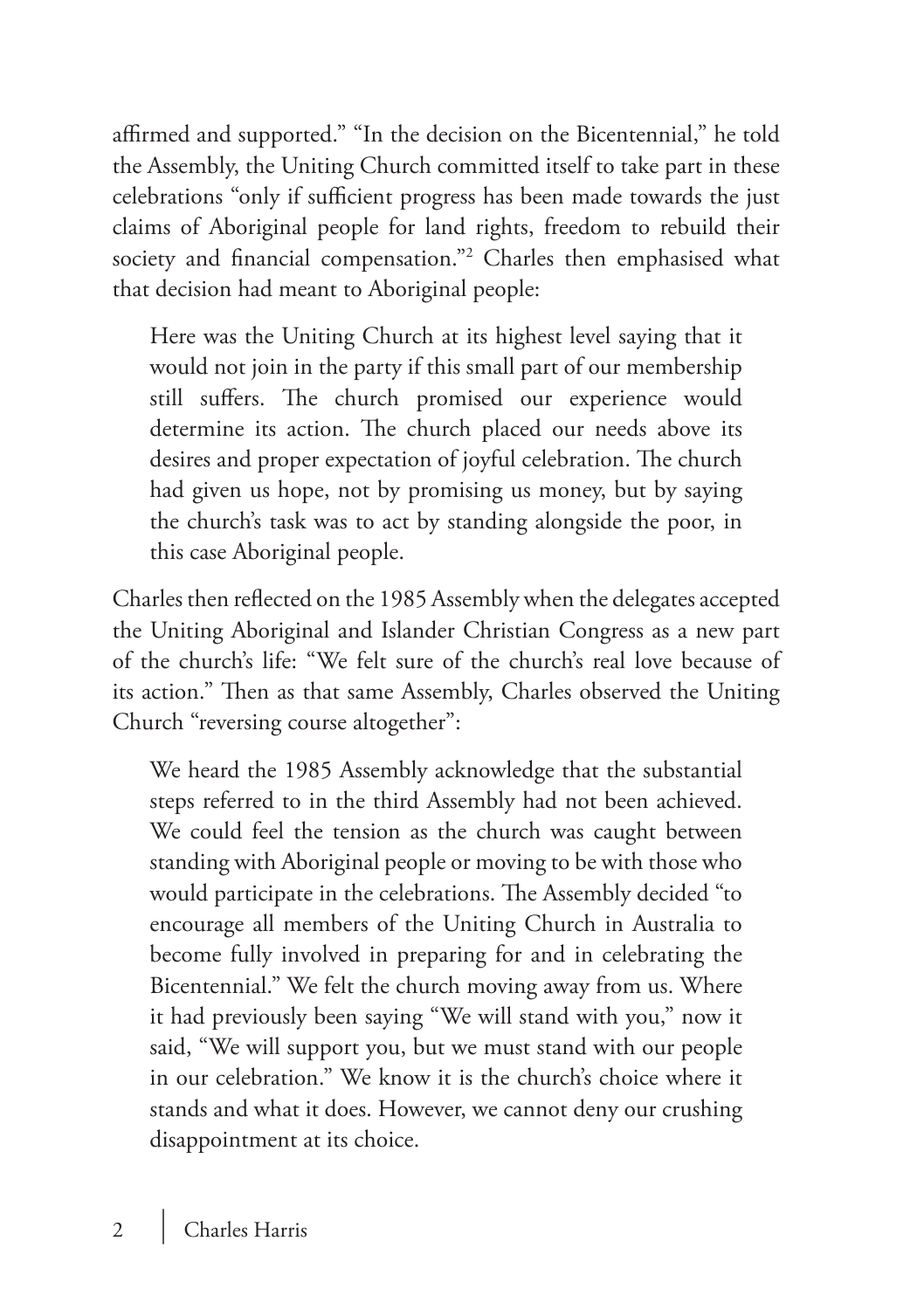affirmed and supported." "In the decision on the Bicentennial," he told the Assembly, the Uniting Church committed itself to take part in these celebrations "only if sufficient progress has been made towards the just claims of Aboriginal people for land rights, freedom to rebuild their society and financial compensation."2 Charles then emphasised what that decision had meant to Aboriginal people:

Here was the Uniting Church at its highest level saying that it would not join in the party if this small part of our membership still suffers. The church promised our experience would determine its action. The church placed our needs above its desires and proper expectation of joyful celebration. The church had given us hope, not by promising us money, but by saying the church's task was to act by standing alongside the poor, in this case Aboriginal people.

Charles then reflected on the 1985 Assembly when the delegates accepted the Uniting Aboriginal and Islander Christian Congress as a new part of the church's life: "We felt sure of the church's real love because of its action." Then as that same Assembly, Charles observed the Uniting Church "reversing course altogether":

We heard the 1985 Assembly acknowledge that the substantial steps referred to in the third Assembly had not been achieved. We could feel the tension as the church was caught between standing with Aboriginal people or moving to be with those who would participate in the celebrations. The Assembly decided "to encourage all members of the Uniting Church in Australia to become fully involved in preparing for and in celebrating the Bicentennial." We felt the church moving away from us. Where it had previously been saying "We will stand with you," now it said, "We will support you, but we must stand with our people in our celebration." We know it is the church's choice where it stands and what it does. However, we cannot deny our crushing disappointment at its choice.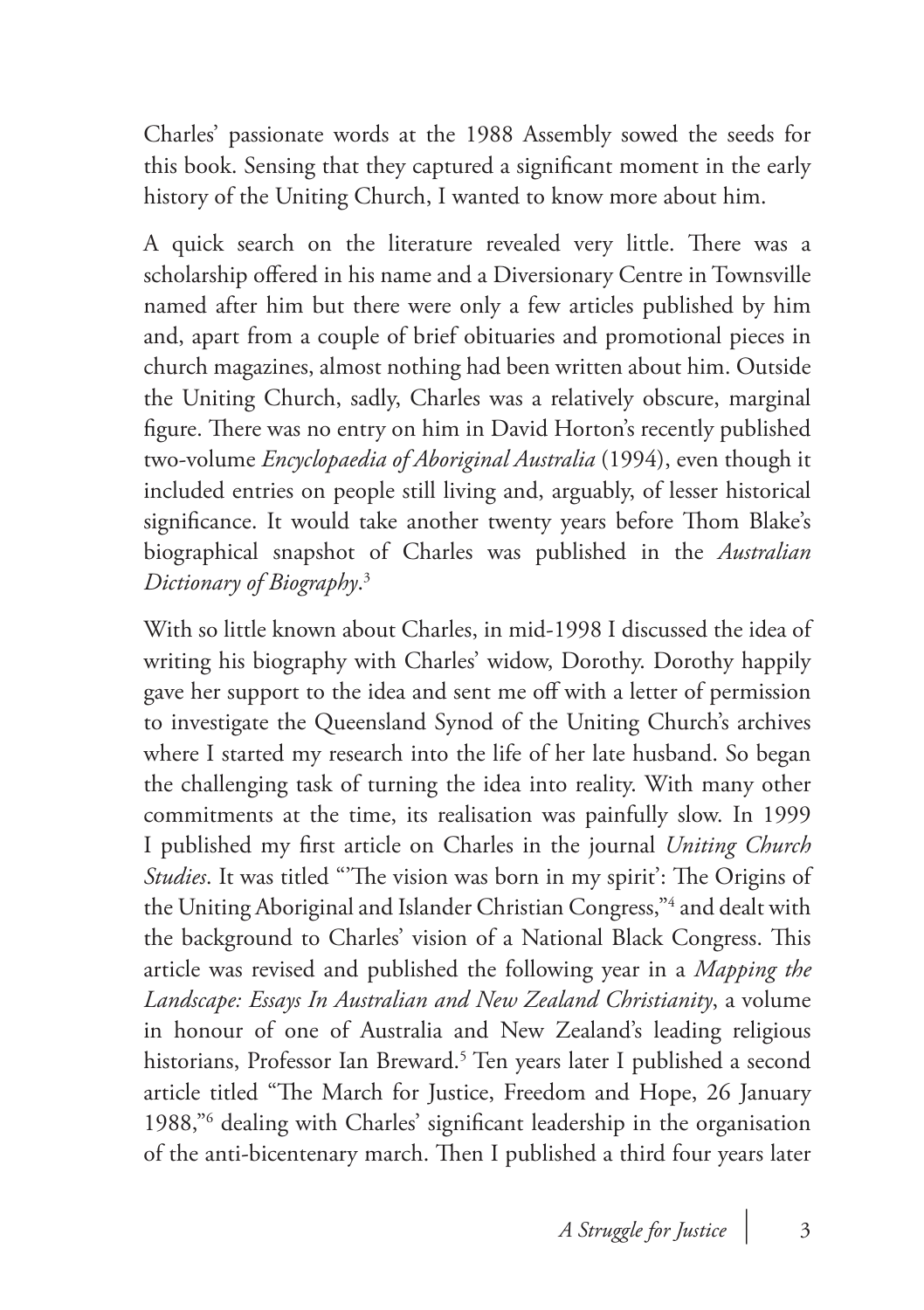Charles' passionate words at the 1988 Assembly sowed the seeds for this book. Sensing that they captured a significant moment in the early history of the Uniting Church, I wanted to know more about him.

A quick search on the literature revealed very little. There was a scholarship offered in his name and a Diversionary Centre in Townsville named after him but there were only a few articles published by him and, apart from a couple of brief obituaries and promotional pieces in church magazines, almost nothing had been written about him. Outside the Uniting Church, sadly, Charles was a relatively obscure, marginal figure. There was no entry on him in David Horton's recently published two-volume *Encyclopaedia of Aboriginal Australia* (1994), even though it included entries on people still living and, arguably, of lesser historical significance. It would take another twenty years before Thom Blake's biographical snapshot of Charles was published in the *Australian Dictionary of Biography*. 3

With so little known about Charles, in mid-1998 I discussed the idea of writing his biography with Charles' widow, Dorothy. Dorothy happily gave her support to the idea and sent me off with a letter of permission to investigate the Queensland Synod of the Uniting Church's archives where I started my research into the life of her late husband. So began the challenging task of turning the idea into reality. With many other commitments at the time, its realisation was painfully slow. In 1999 I published my first article on Charles in the journal *Uniting Church Studies*. It was titled "'The vision was born in my spirit': The Origins of the Uniting Aboriginal and Islander Christian Congress,"4 and dealt with the background to Charles' vision of a National Black Congress. This article was revised and published the following year in a *Mapping the Landscape: Essays In Australian and New Zealand Christianity*, a volume in honour of one of Australia and New Zealand's leading religious historians, Professor Ian Breward.<sup>5</sup> Ten years later I published a second article titled "The March for Justice, Freedom and Hope, 26 January 1988,"6 dealing with Charles' significant leadership in the organisation of the anti-bicentenary march. Then I published a third four years later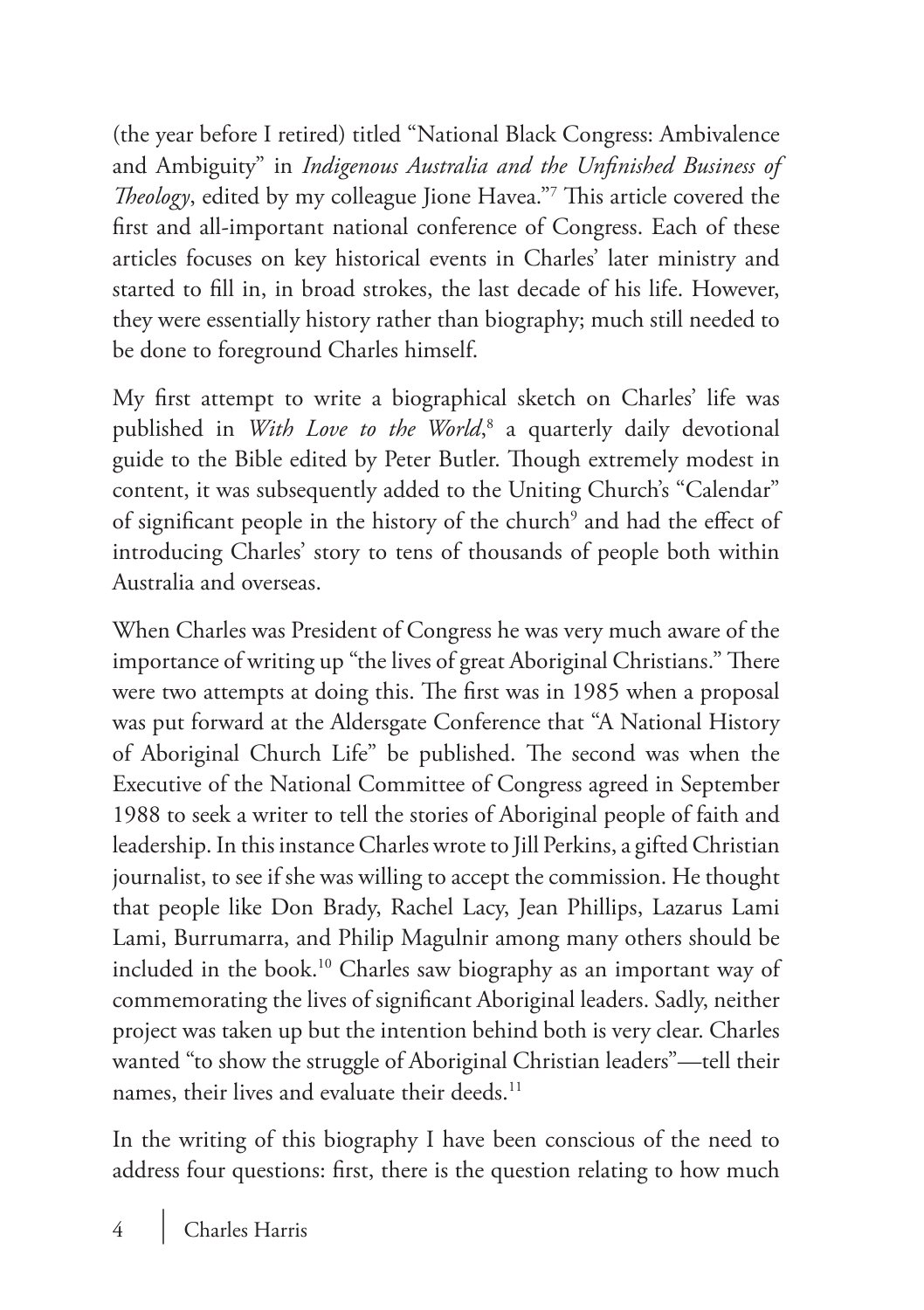(the year before I retired) titled "National Black Congress: Ambivalence and Ambiguity" in *Indigenous Australia and the Unfinished Business of Theology*, edited by my colleague Jione Havea."7 This article covered the first and all-important national conference of Congress. Each of these articles focuses on key historical events in Charles' later ministry and started to fill in, in broad strokes, the last decade of his life. However, they were essentially history rather than biography; much still needed to be done to foreground Charles himself.

My first attempt to write a biographical sketch on Charles' life was published in *With Love to the World*, 8 a quarterly daily devotional guide to the Bible edited by Peter Butler. Though extremely modest in content, it was subsequently added to the Uniting Church's "Calendar" of significant people in the history of the church<sup>9</sup> and had the effect of introducing Charles' story to tens of thousands of people both within Australia and overseas.

When Charles was President of Congress he was very much aware of the importance of writing up "the lives of great Aboriginal Christians." There were two attempts at doing this. The first was in 1985 when a proposal was put forward at the Aldersgate Conference that "A National History of Aboriginal Church Life" be published. The second was when the Executive of the National Committee of Congress agreed in September 1988 to seek a writer to tell the stories of Aboriginal people of faith and leadership. In this instance Charles wrote to Jill Perkins, a gifted Christian journalist, to see if she was willing to accept the commission. He thought that people like Don Brady, Rachel Lacy, Jean Phillips, Lazarus Lami Lami, Burrumarra, and Philip Magulnir among many others should be included in the book.10 Charles saw biography as an important way of commemorating the lives of significant Aboriginal leaders. Sadly, neither project was taken up but the intention behind both is very clear. Charles wanted "to show the struggle of Aboriginal Christian leaders"—tell their names, their lives and evaluate their deeds.<sup>11</sup>

In the writing of this biography I have been conscious of the need to address four questions: first, there is the question relating to how much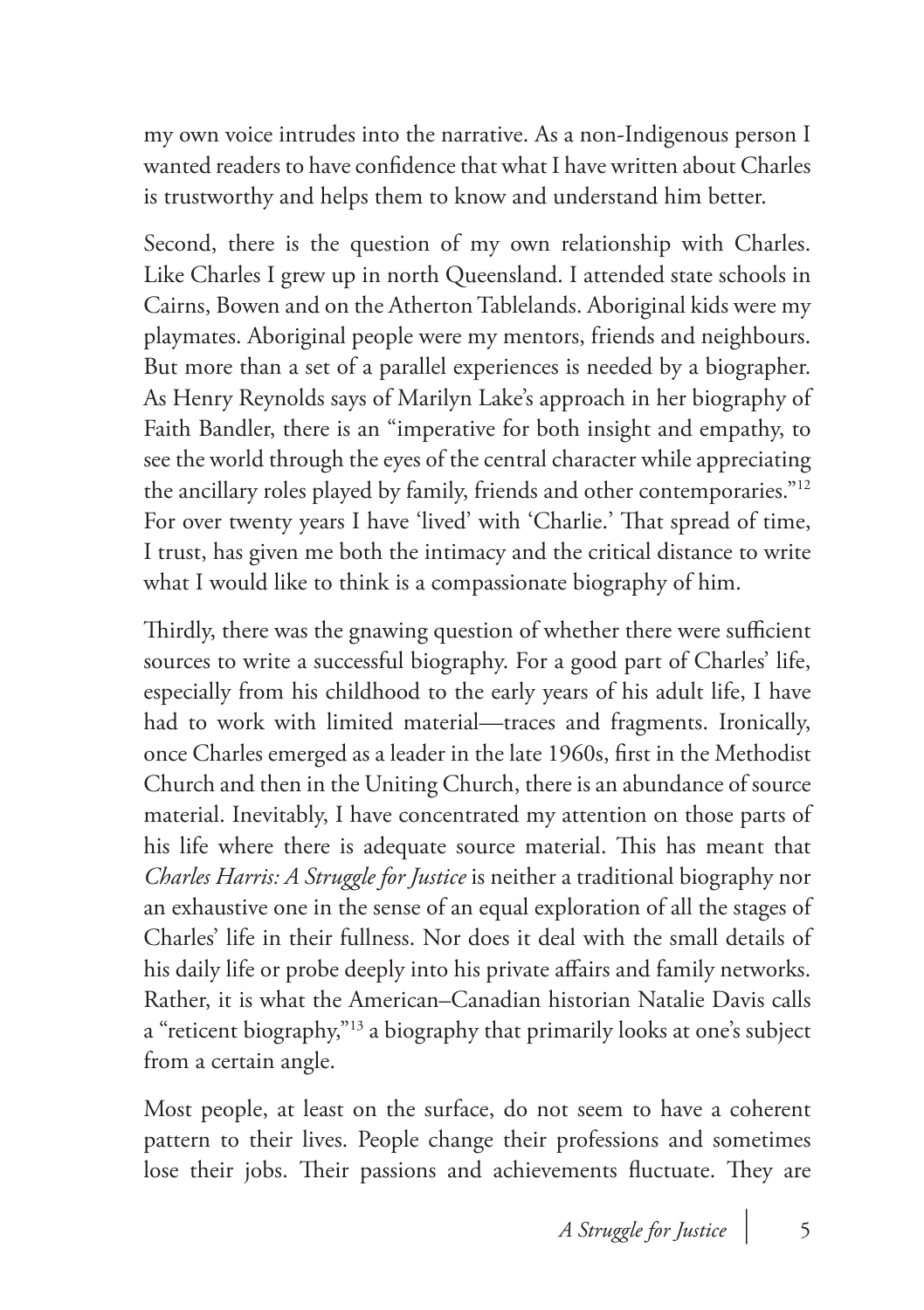my own voice intrudes into the narrative. As a non-Indigenous person I wanted readers to have confidence that what I have written about Charles is trustworthy and helps them to know and understand him better.

Second, there is the question of my own relationship with Charles. Like Charles I grew up in north Queensland. I attended state schools in Cairns, Bowen and on the Atherton Tablelands. Aboriginal kids were my playmates. Aboriginal people were my mentors, friends and neighbours. But more than a set of a parallel experiences is needed by a biographer. As Henry Reynolds says of Marilyn Lake's approach in her biography of Faith Bandler, there is an "imperative for both insight and empathy, to see the world through the eyes of the central character while appreciating the ancillary roles played by family, friends and other contemporaries."12 For over twenty years I have 'lived' with 'Charlie.' That spread of time, I trust, has given me both the intimacy and the critical distance to write what I would like to think is a compassionate biography of him.

Thirdly, there was the gnawing question of whether there were sufficient sources to write a successful biography. For a good part of Charles' life, especially from his childhood to the early years of his adult life, I have had to work with limited material—traces and fragments. Ironically, once Charles emerged as a leader in the late 1960s, first in the Methodist Church and then in the Uniting Church, there is an abundance of source material. Inevitably, I have concentrated my attention on those parts of his life where there is adequate source material. This has meant that *Charles Harris: A Struggle for Justice* is neither a traditional biography nor an exhaustive one in the sense of an equal exploration of all the stages of Charles' life in their fullness. Nor does it deal with the small details of his daily life or probe deeply into his private affairs and family networks. Rather, it is what the American–Canadian historian Natalie Davis calls a "reticent biography,"13 a biography that primarily looks at one's subject from a certain angle.

Most people, at least on the surface, do not seem to have a coherent pattern to their lives. People change their professions and sometimes lose their jobs. Their passions and achievements fluctuate. They are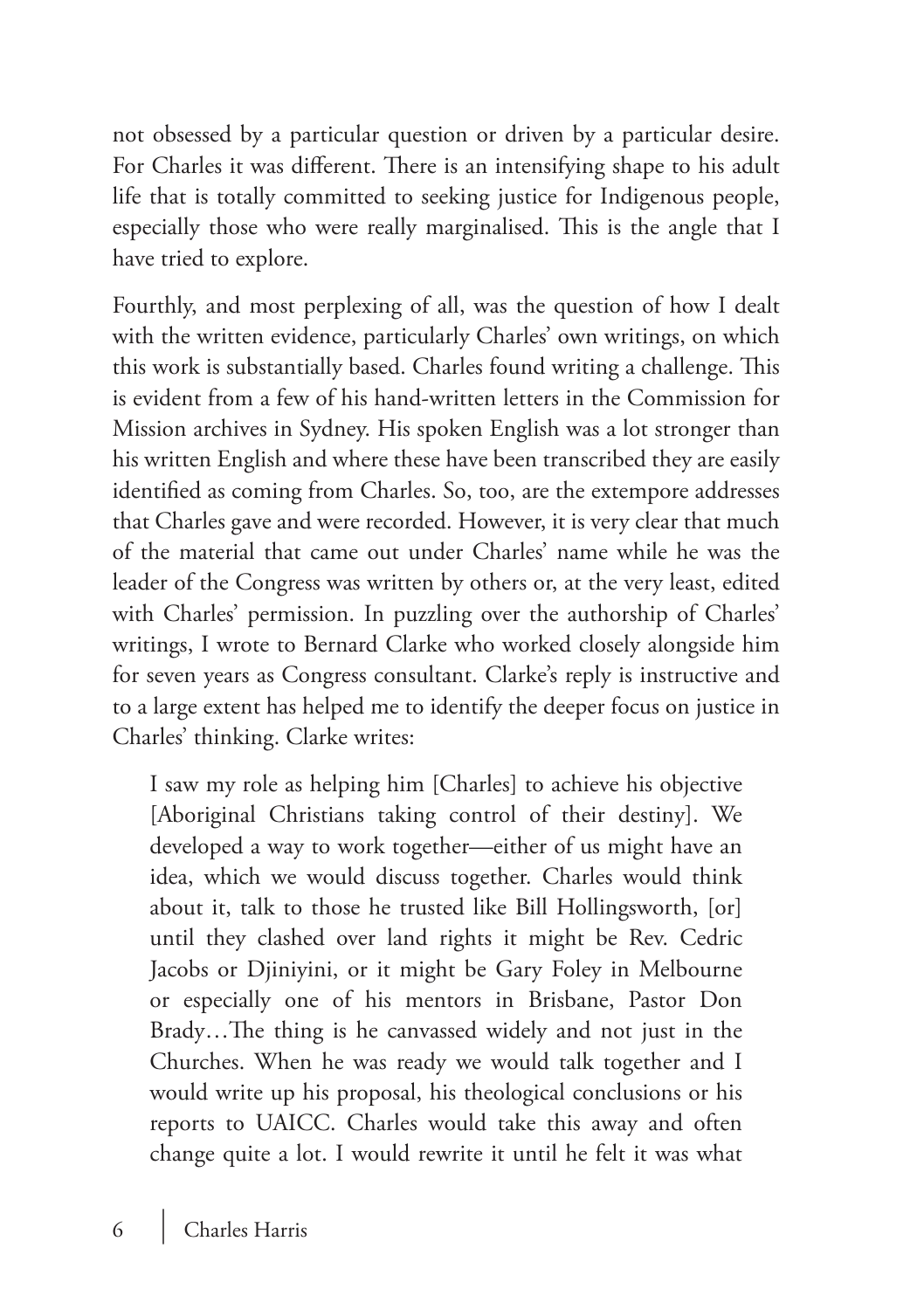not obsessed by a particular question or driven by a particular desire. For Charles it was different. There is an intensifying shape to his adult life that is totally committed to seeking justice for Indigenous people, especially those who were really marginalised. This is the angle that I have tried to explore.

Fourthly, and most perplexing of all, was the question of how I dealt with the written evidence, particularly Charles' own writings, on which this work is substantially based. Charles found writing a challenge. This is evident from a few of his hand-written letters in the Commission for Mission archives in Sydney. His spoken English was a lot stronger than his written English and where these have been transcribed they are easily identified as coming from Charles. So, too, are the extempore addresses that Charles gave and were recorded. However, it is very clear that much of the material that came out under Charles' name while he was the leader of the Congress was written by others or, at the very least, edited with Charles' permission. In puzzling over the authorship of Charles' writings, I wrote to Bernard Clarke who worked closely alongside him for seven years as Congress consultant. Clarke's reply is instructive and to a large extent has helped me to identify the deeper focus on justice in Charles' thinking. Clarke writes:

I saw my role as helping him [Charles] to achieve his objective [Aboriginal Christians taking control of their destiny]. We developed a way to work together—either of us might have an idea, which we would discuss together. Charles would think about it, talk to those he trusted like Bill Hollingsworth, [or] until they clashed over land rights it might be Rev. Cedric Jacobs or Djiniyini, or it might be Gary Foley in Melbourne or especially one of his mentors in Brisbane, Pastor Don Brady…The thing is he canvassed widely and not just in the Churches. When he was ready we would talk together and I would write up his proposal, his theological conclusions or his reports to UAICC. Charles would take this away and often change quite a lot. I would rewrite it until he felt it was what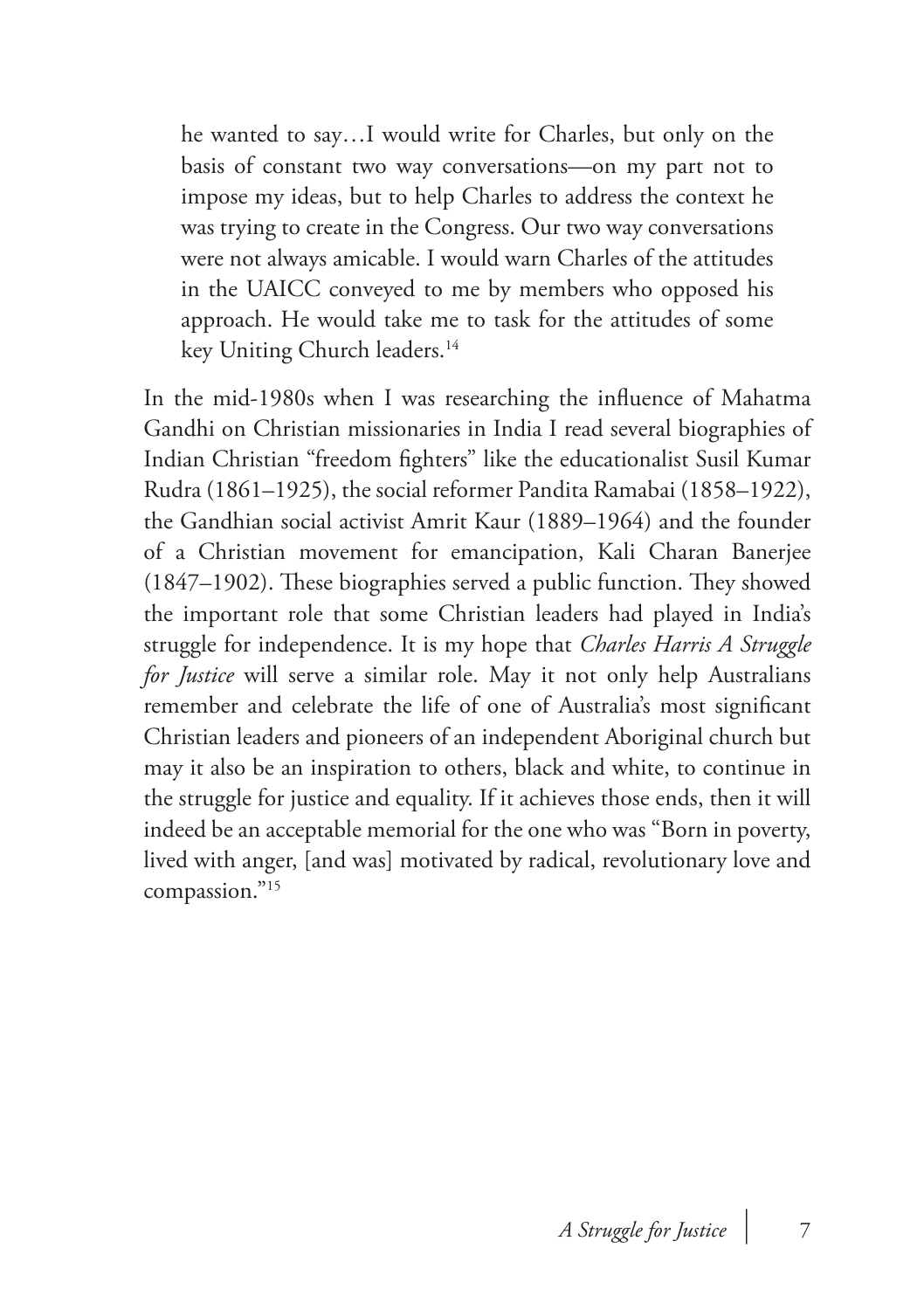he wanted to say…I would write for Charles, but only on the basis of constant two way conversations—on my part not to impose my ideas, but to help Charles to address the context he was trying to create in the Congress. Our two way conversations were not always amicable. I would warn Charles of the attitudes in the UAICC conveyed to me by members who opposed his approach. He would take me to task for the attitudes of some key Uniting Church leaders.<sup>14</sup>

In the mid-1980s when I was researching the influence of Mahatma Gandhi on Christian missionaries in India I read several biographies of Indian Christian "freedom fighters" like the educationalist Susil Kumar Rudra (1861–1925), the social reformer Pandita Ramabai (1858–1922), the Gandhian social activist Amrit Kaur (1889–1964) and the founder of a Christian movement for emancipation, Kali Charan Banerjee (1847–1902). These biographies served a public function. They showed the important role that some Christian leaders had played in India's struggle for independence. It is my hope that *Charles Harris A Struggle for Justice* will serve a similar role. May it not only help Australians remember and celebrate the life of one of Australia's most significant Christian leaders and pioneers of an independent Aboriginal church but may it also be an inspiration to others, black and white, to continue in the struggle for justice and equality. If it achieves those ends, then it will indeed be an acceptable memorial for the one who was "Born in poverty, lived with anger, [and was] motivated by radical, revolutionary love and compassion."15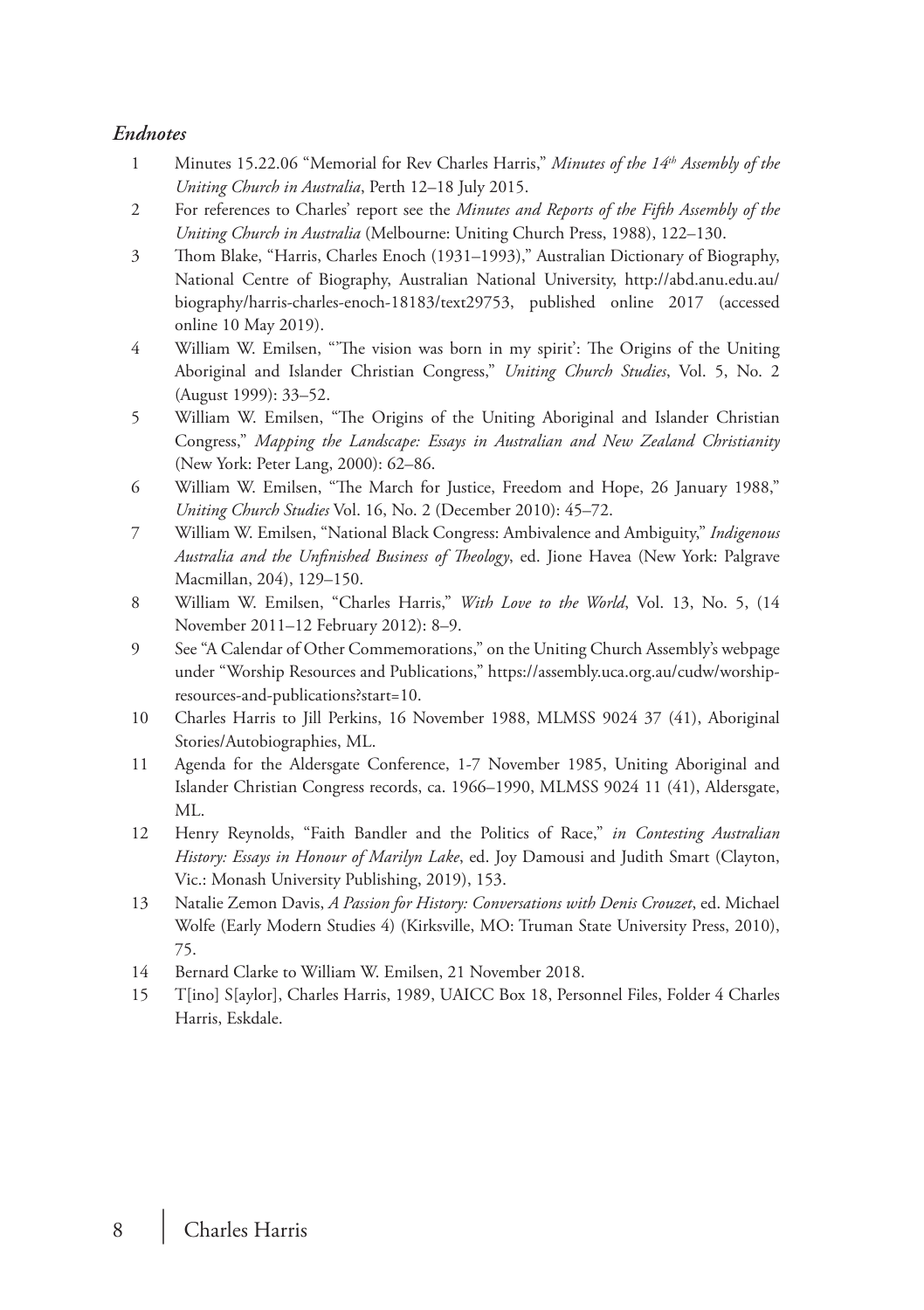#### *Endnotes*

- 1 Minutes 15.22.06 "Memorial for Rev Charles Harris," *Minutes of the 14th Assembly of the Uniting Church in Australia*, Perth 12–18 July 2015.
- 2 For references to Charles' report see the *Minutes and Reports of the Fifth Assembly of the Uniting Church in Australia* (Melbourne: Uniting Church Press, 1988), 122–130.
- 3 Thom Blake, "Harris, Charles Enoch (1931–1993)," Australian Dictionary of Biography, National Centre of Biography, Australian National University, http://abd.anu.edu.au/ biography/harris-charles-enoch-18183/text29753, published online 2017 (accessed online 10 May 2019).
- 4 William W. Emilsen, "'The vision was born in my spirit': The Origins of the Uniting Aboriginal and Islander Christian Congress," *Uniting Church Studies*, Vol. 5, No. 2 (August 1999): 33–52.
- 5 William W. Emilsen, "The Origins of the Uniting Aboriginal and Islander Christian Congress," *Mapping the Landscape: Essays in Australian and New Zealand Christianity* (New York: Peter Lang, 2000): 62–86.
- 6 William W. Emilsen, "The March for Justice, Freedom and Hope, 26 January 1988," *Uniting Church Studies* Vol. 16, No. 2 (December 2010): 45–72.
- 7 William W. Emilsen, "National Black Congress: Ambivalence and Ambiguity," *Indigenous Australia and the Unfinished Business of Theology*, ed. Jione Havea (New York: Palgrave Macmillan, 204), 129–150.
- 8 William W. Emilsen, "Charles Harris," *With Love to the World*, Vol. 13, No. 5, (14 November 2011–12 February 2012): 8–9.
- 9 See "A Calendar of Other Commemorations," on the Uniting Church Assembly's webpage under "Worship Resources and Publications," https://assembly.uca.org.au/cudw/worshipresources-and-publications?start=10.
- 10 Charles Harris to Jill Perkins, 16 November 1988, MLMSS 9024 37 (41), Aboriginal Stories/Autobiographies, ML.
- 11 Agenda for the Aldersgate Conference, 1-7 November 1985, Uniting Aboriginal and Islander Christian Congress records, ca. 1966–1990, MLMSS 9024 11 (41), Aldersgate, ML.
- 12 Henry Reynolds, "Faith Bandler and the Politics of Race," *in Contesting Australian History: Essays in Honour of Marilyn Lake*, ed. Joy Damousi and Judith Smart (Clayton, Vic.: Monash University Publishing, 2019), 153.
- 13 Natalie Zemon Davis, *A Passion for History: Conversations with Denis Crouzet*, ed. Michael Wolfe (Early Modern Studies 4) (Kirksville, MO: Truman State University Press, 2010), 75.
- 14 Bernard Clarke to William W. Emilsen, 21 November 2018.
- 15 T[ino] S[aylor], Charles Harris, 1989, UAICC Box 18, Personnel Files, Folder 4 Charles Harris, Eskdale.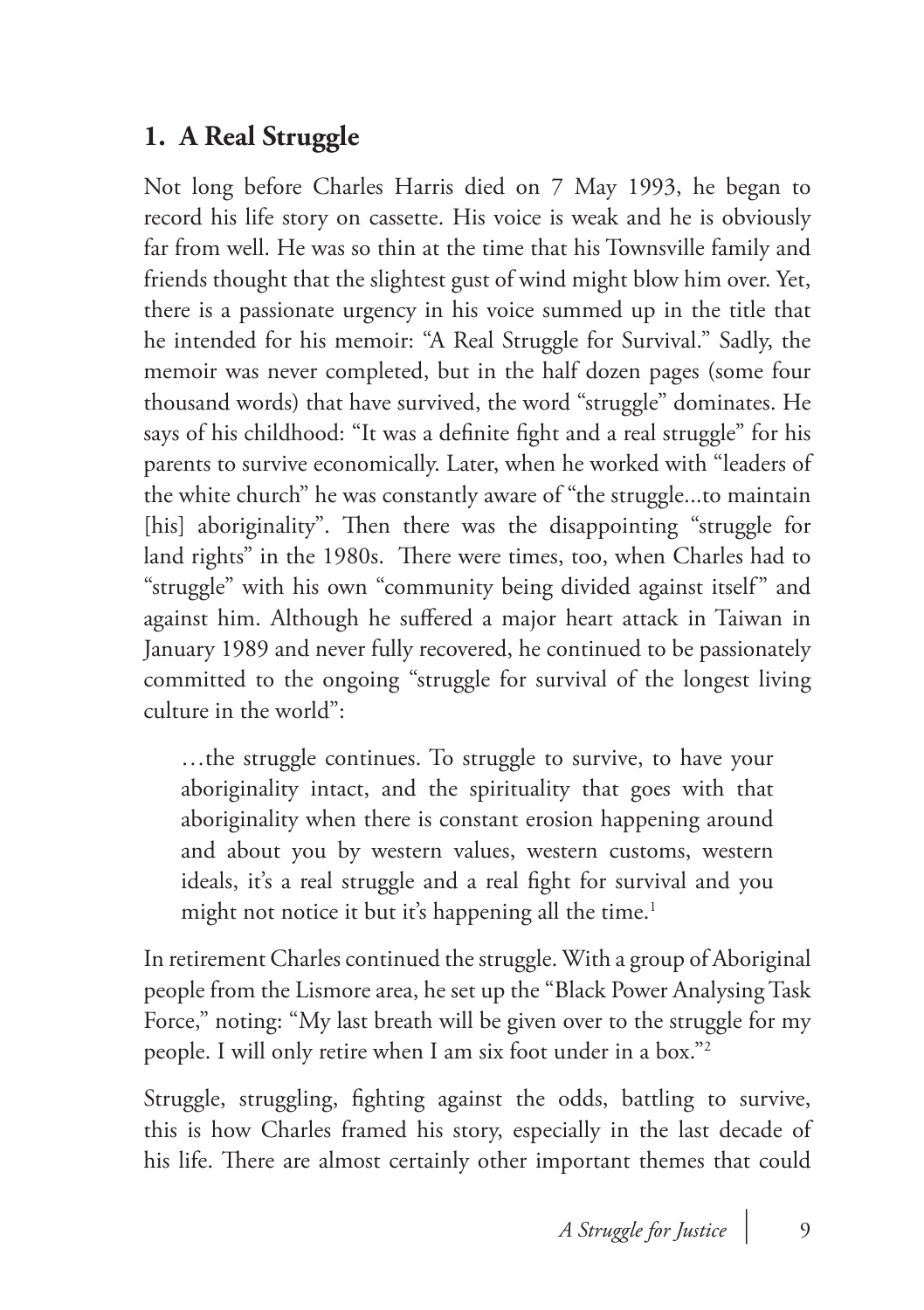#### **1. A Real Struggle**

Not long before Charles Harris died on 7 May 1993, he began to record his life story on cassette. His voice is weak and he is obviously far from well. He was so thin at the time that his Townsville family and friends thought that the slightest gust of wind might blow him over. Yet, there is a passionate urgency in his voice summed up in the title that he intended for his memoir: "A Real Struggle for Survival." Sadly, the memoir was never completed, but in the half dozen pages (some four thousand words) that have survived, the word "struggle" dominates. He says of his childhood: "It was a definite fight and a real struggle" for his parents to survive economically. Later, when he worked with "leaders of the white church" he was constantly aware of "the struggle...to maintain [his] aboriginality". Then there was the disappointing "struggle for land rights" in the 1980s. There were times, too, when Charles had to "struggle" with his own "community being divided against itself" and against him. Although he suffered a major heart attack in Taiwan in January 1989 and never fully recovered, he continued to be passionately committed to the ongoing "struggle for survival of the longest living culture in the world":

…the struggle continues. To struggle to survive, to have your aboriginality intact, and the spirituality that goes with that aboriginality when there is constant erosion happening around and about you by western values, western customs, western ideals, it's a real struggle and a real fight for survival and you might not notice it but it's happening all the time.<sup>1</sup>

In retirement Charles continued the struggle. With a group of Aboriginal people from the Lismore area, he set up the "Black Power Analysing Task Force," noting: "My last breath will be given over to the struggle for my people. I will only retire when I am six foot under in a box."2

Struggle, struggling, fighting against the odds, battling to survive, this is how Charles framed his story, especially in the last decade of his life. There are almost certainly other important themes that could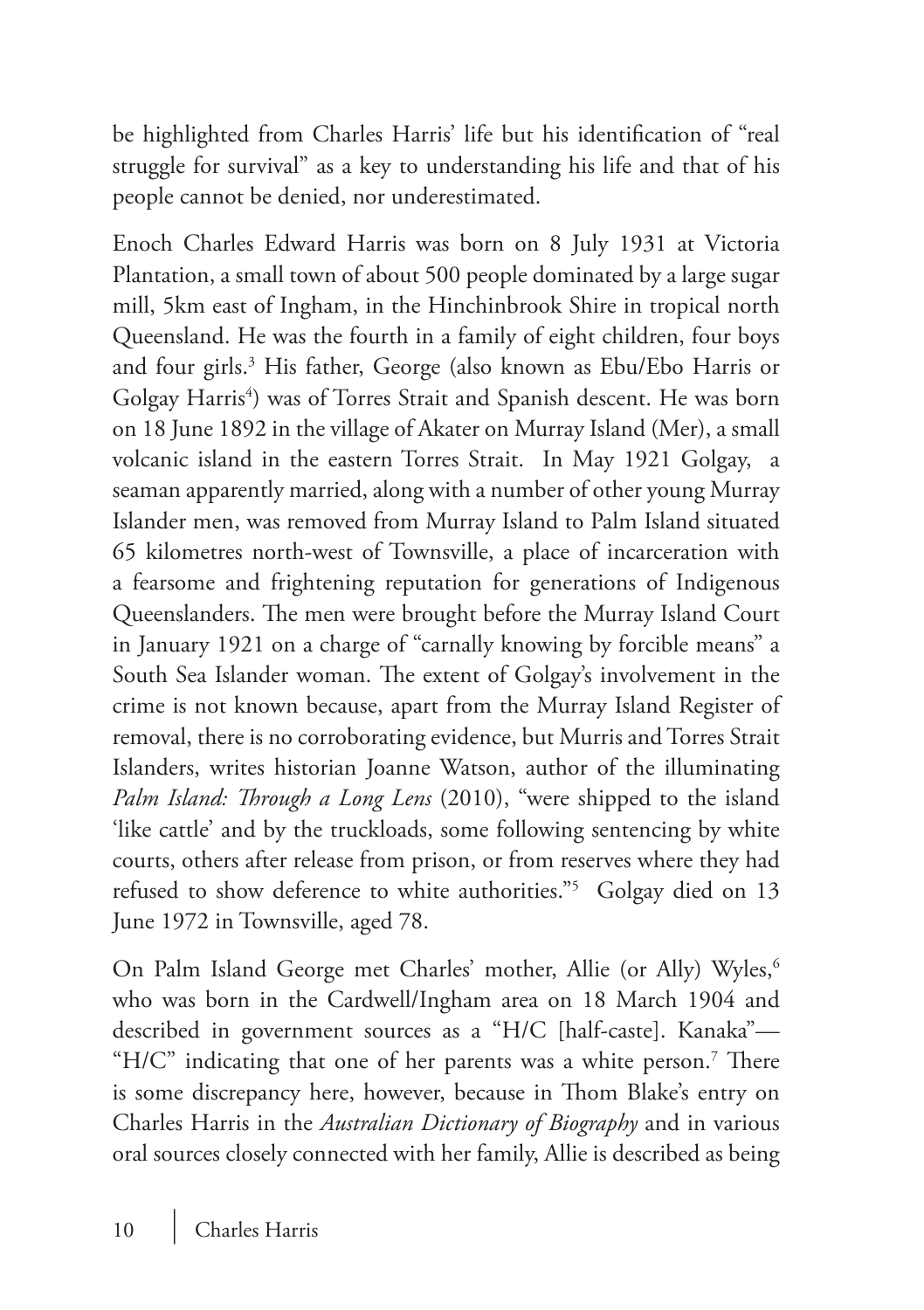be highlighted from Charles Harris' life but his identification of "real struggle for survival" as a key to understanding his life and that of his people cannot be denied, nor underestimated.

Enoch Charles Edward Harris was born on 8 July 1931 at Victoria Plantation, a small town of about 500 people dominated by a large sugar mill, 5km east of Ingham, in the Hinchinbrook Shire in tropical north Queensland. He was the fourth in a family of eight children, four boys and four girls.3 His father, George (also known as Ebu/Ebo Harris or Golgay Harris<sup>4</sup>) was of Torres Strait and Spanish descent. He was born on 18 June 1892 in the village of Akater on Murray Island (Mer), a small volcanic island in the eastern Torres Strait. In May 1921 Golgay, a seaman apparently married, along with a number of other young Murray Islander men, was removed from Murray Island to Palm Island situated 65 kilometres north-west of Townsville, a place of incarceration with a fearsome and frightening reputation for generations of Indigenous Queenslanders. The men were brought before the Murray Island Court in January 1921 on a charge of "carnally knowing by forcible means" a South Sea Islander woman. The extent of Golgay's involvement in the crime is not known because, apart from the Murray Island Register of removal, there is no corroborating evidence, but Murris and Torres Strait Islanders, writes historian Joanne Watson, author of the illuminating *Palm Island: Through a Long Lens* (2010), "were shipped to the island 'like cattle' and by the truckloads, some following sentencing by white courts, others after release from prison, or from reserves where they had refused to show deference to white authorities."5 Golgay died on 13 June 1972 in Townsville, aged 78.

On Palm Island George met Charles' mother, Allie (or Ally) Wyles,<sup>6</sup> who was born in the Cardwell/Ingham area on 18 March 1904 and described in government sources as a "H/C [half-caste]. Kanaka"— "H/C" indicating that one of her parents was a white person.<sup>7</sup> There is some discrepancy here, however, because in Thom Blake's entry on Charles Harris in the *Australian Dictionary of Biography* and in various oral sources closely connected with her family, Allie is described as being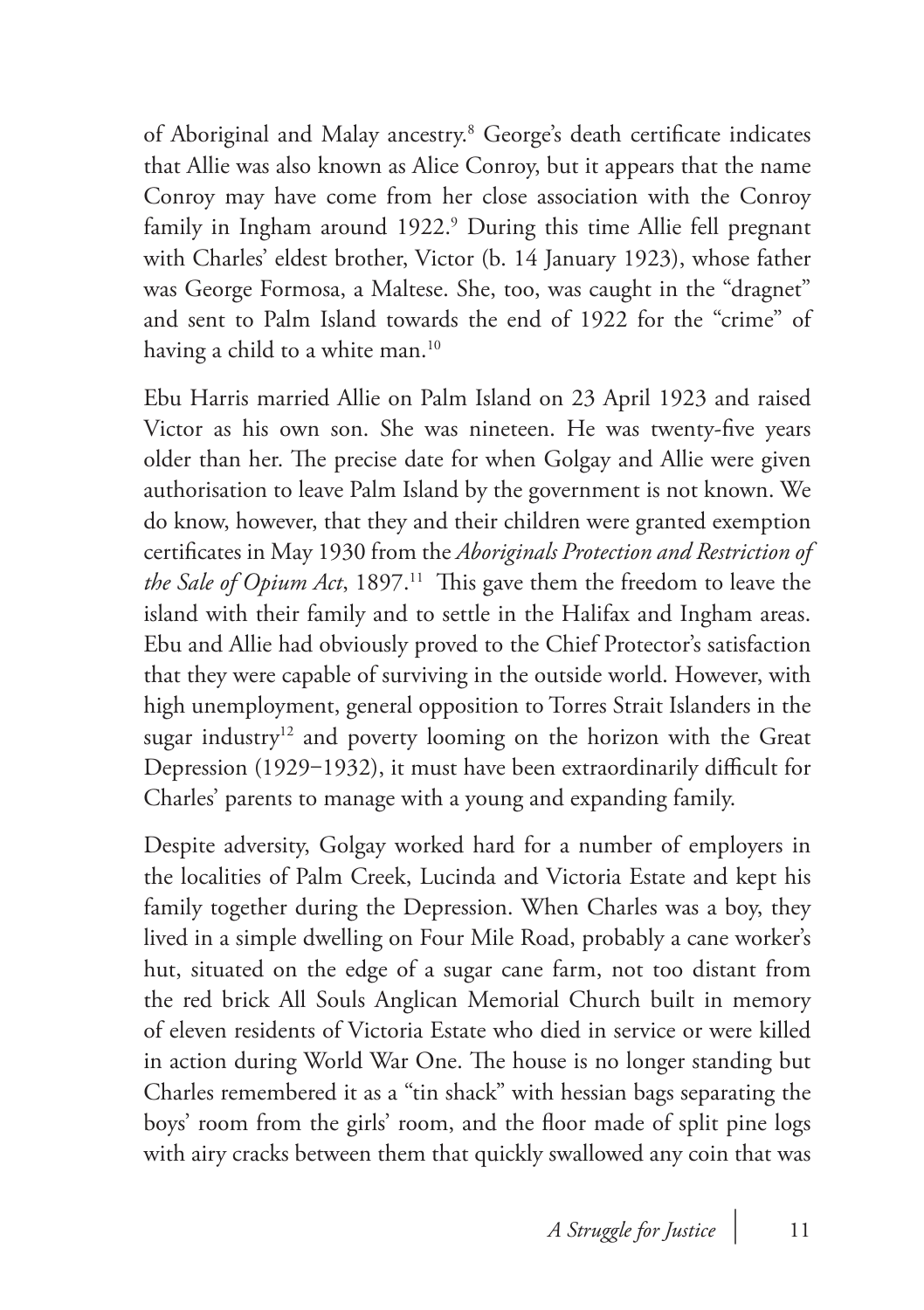of Aboriginal and Malay ancestry.8 George's death certificate indicates that Allie was also known as Alice Conroy, but it appears that the name Conroy may have come from her close association with the Conroy family in Ingham around 1922.9 During this time Allie fell pregnant with Charles' eldest brother, Victor (b. 14 January 1923), whose father was George Formosa, a Maltese. She, too, was caught in the "dragnet" and sent to Palm Island towards the end of 1922 for the "crime" of having a child to a white man.<sup>10</sup>

Ebu Harris married Allie on Palm Island on 23 April 1923 and raised Victor as his own son. She was nineteen. He was twenty-five years older than her. The precise date for when Golgay and Allie were given authorisation to leave Palm Island by the government is not known. We do know, however, that they and their children were granted exemption certificates in May 1930 from the *Aboriginals Protection and Restriction of the Sale of Opium Act*, 1897.<sup>11</sup> This gave them the freedom to leave the island with their family and to settle in the Halifax and Ingham areas. Ebu and Allie had obviously proved to the Chief Protector's satisfaction that they were capable of surviving in the outside world. However, with high unemployment, general opposition to Torres Strait Islanders in the sugar industry<sup>12</sup> and poverty looming on the horizon with the Great Depression (1929–1932), it must have been extraordinarily difficult for Charles' parents to manage with a young and expanding family.

Despite adversity, Golgay worked hard for a number of employers in the localities of Palm Creek, Lucinda and Victoria Estate and kept his family together during the Depression. When Charles was a boy, they lived in a simple dwelling on Four Mile Road, probably a cane worker's hut, situated on the edge of a sugar cane farm, not too distant from the red brick All Souls Anglican Memorial Church built in memory of eleven residents of Victoria Estate who died in service or were killed in action during World War One. The house is no longer standing but Charles remembered it as a "tin shack" with hessian bags separating the boys' room from the girls' room, and the floor made of split pine logs with airy cracks between them that quickly swallowed any coin that was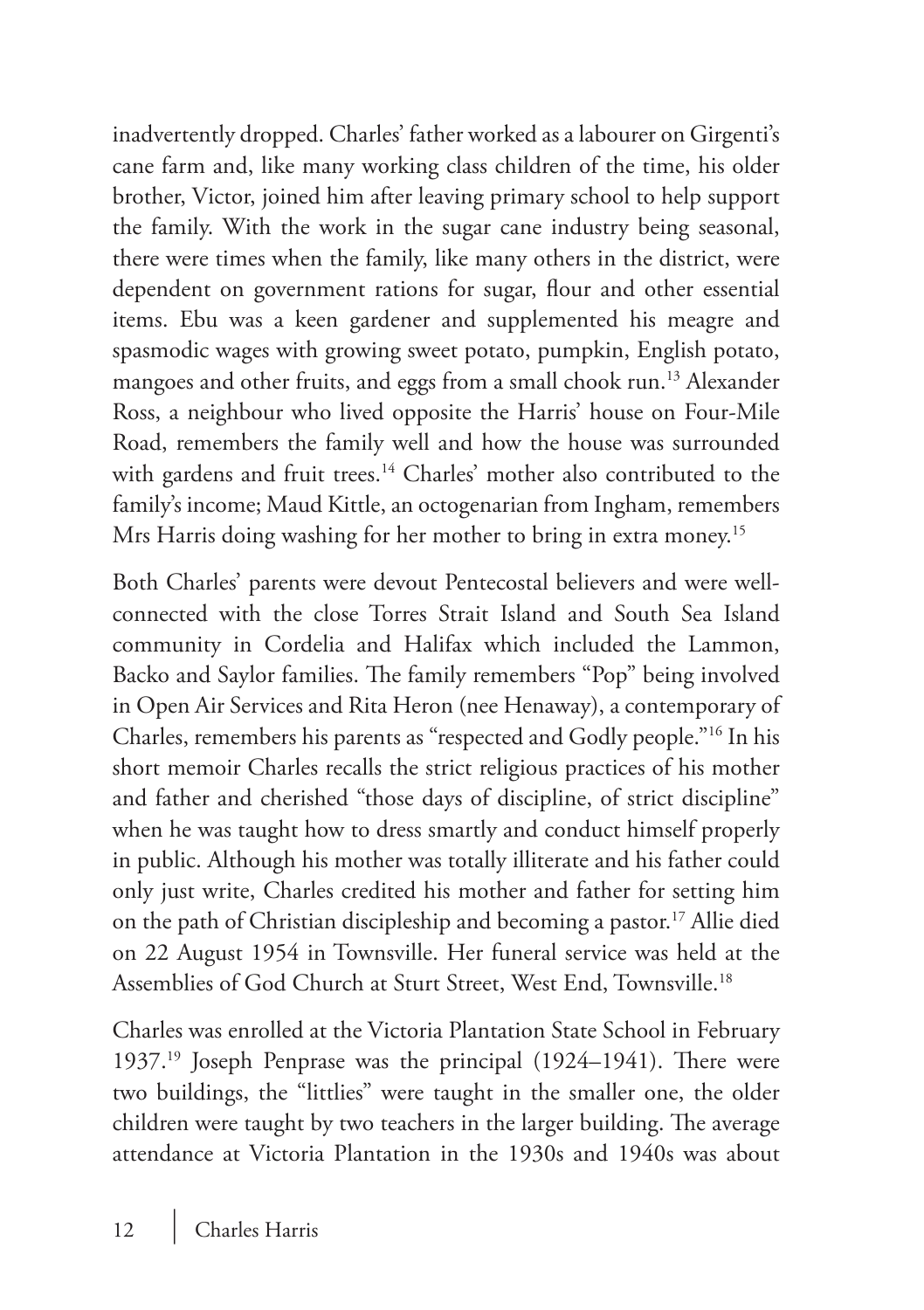inadvertently dropped. Charles' father worked as a labourer on Girgenti's cane farm and, like many working class children of the time, his older brother, Victor, joined him after leaving primary school to help support the family. With the work in the sugar cane industry being seasonal, there were times when the family, like many others in the district, were dependent on government rations for sugar, flour and other essential items. Ebu was a keen gardener and supplemented his meagre and spasmodic wages with growing sweet potato, pumpkin, English potato, mangoes and other fruits, and eggs from a small chook run.13 Alexander Ross, a neighbour who lived opposite the Harris' house on Four-Mile Road, remembers the family well and how the house was surrounded with gardens and fruit trees.<sup>14</sup> Charles' mother also contributed to the family's income; Maud Kittle, an octogenarian from Ingham, remembers Mrs Harris doing washing for her mother to bring in extra money.<sup>15</sup>

Both Charles' parents were devout Pentecostal believers and were wellconnected with the close Torres Strait Island and South Sea Island community in Cordelia and Halifax which included the Lammon, Backo and Saylor families. The family remembers "Pop" being involved in Open Air Services and Rita Heron (nee Henaway), a contemporary of Charles, remembers his parents as "respected and Godly people."16 In his short memoir Charles recalls the strict religious practices of his mother and father and cherished "those days of discipline, of strict discipline" when he was taught how to dress smartly and conduct himself properly in public. Although his mother was totally illiterate and his father could only just write, Charles credited his mother and father for setting him on the path of Christian discipleship and becoming a pastor.<sup>17</sup> Allie died on 22 August 1954 in Townsville. Her funeral service was held at the Assemblies of God Church at Sturt Street, West End, Townsville.18

Charles was enrolled at the Victoria Plantation State School in February 1937.19 Joseph Penprase was the principal (1924–1941). There were two buildings, the "littlies" were taught in the smaller one, the older children were taught by two teachers in the larger building. The average attendance at Victoria Plantation in the 1930s and 1940s was about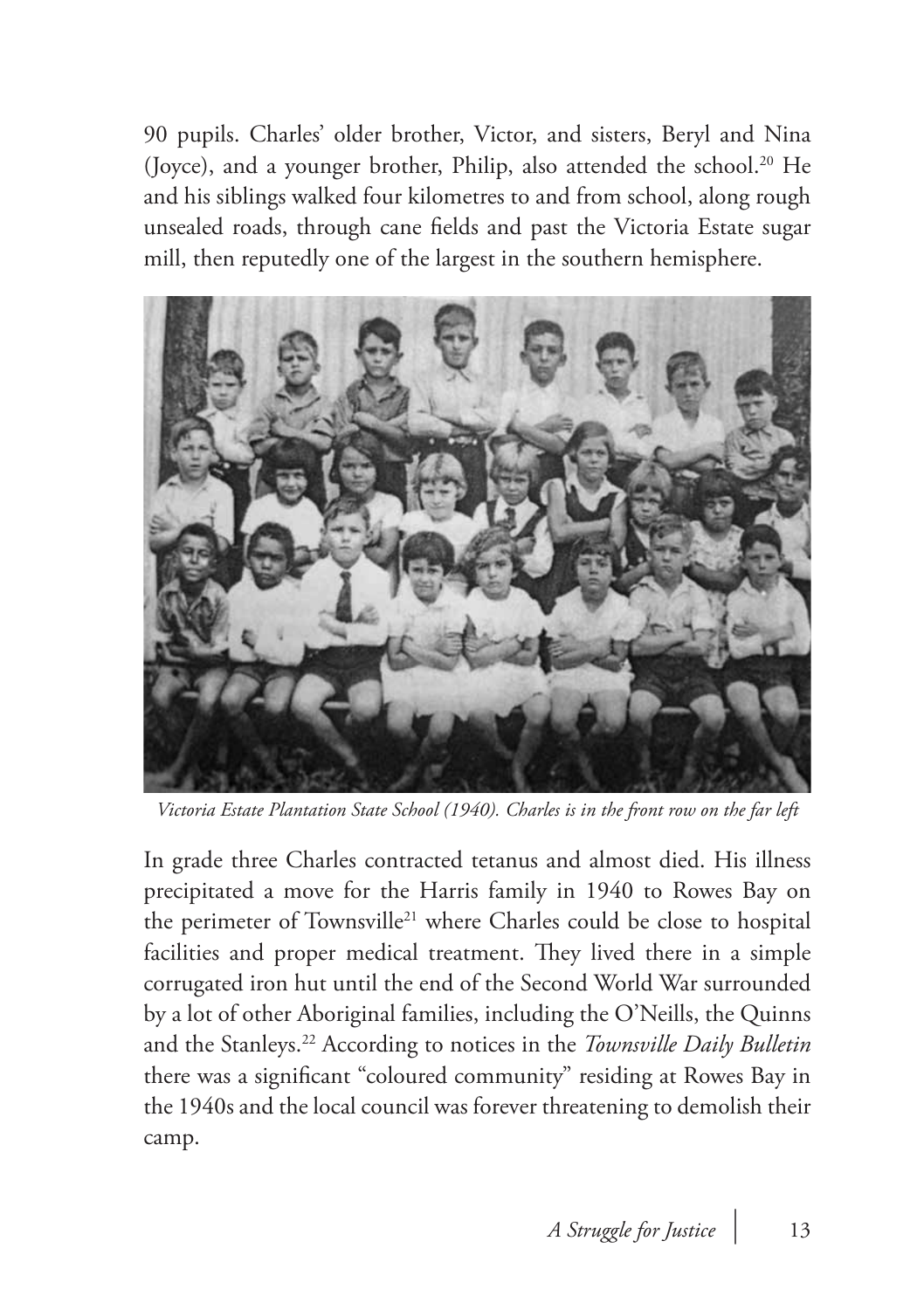90 pupils. Charles' older brother, Victor, and sisters, Beryl and Nina (Joyce), and a younger brother, Philip, also attended the school.<sup>20</sup> He and his siblings walked four kilometres to and from school, along rough unsealed roads, through cane fields and past the Victoria Estate sugar mill, then reputedly one of the largest in the southern hemisphere.



*Victoria Estate Plantation State School (1940). Charles is in the front row on the far left*

In grade three Charles contracted tetanus and almost died. His illness precipitated a move for the Harris family in 1940 to Rowes Bay on the perimeter of Townsville<sup>21</sup> where Charles could be close to hospital facilities and proper medical treatment. They lived there in a simple corrugated iron hut until the end of the Second World War surrounded by a lot of other Aboriginal families, including the O'Neills, the Quinns and the Stanleys.22 According to notices in the *Townsville Daily Bulletin* there was a significant "coloured community" residing at Rowes Bay in the 1940s and the local council was forever threatening to demolish their camp.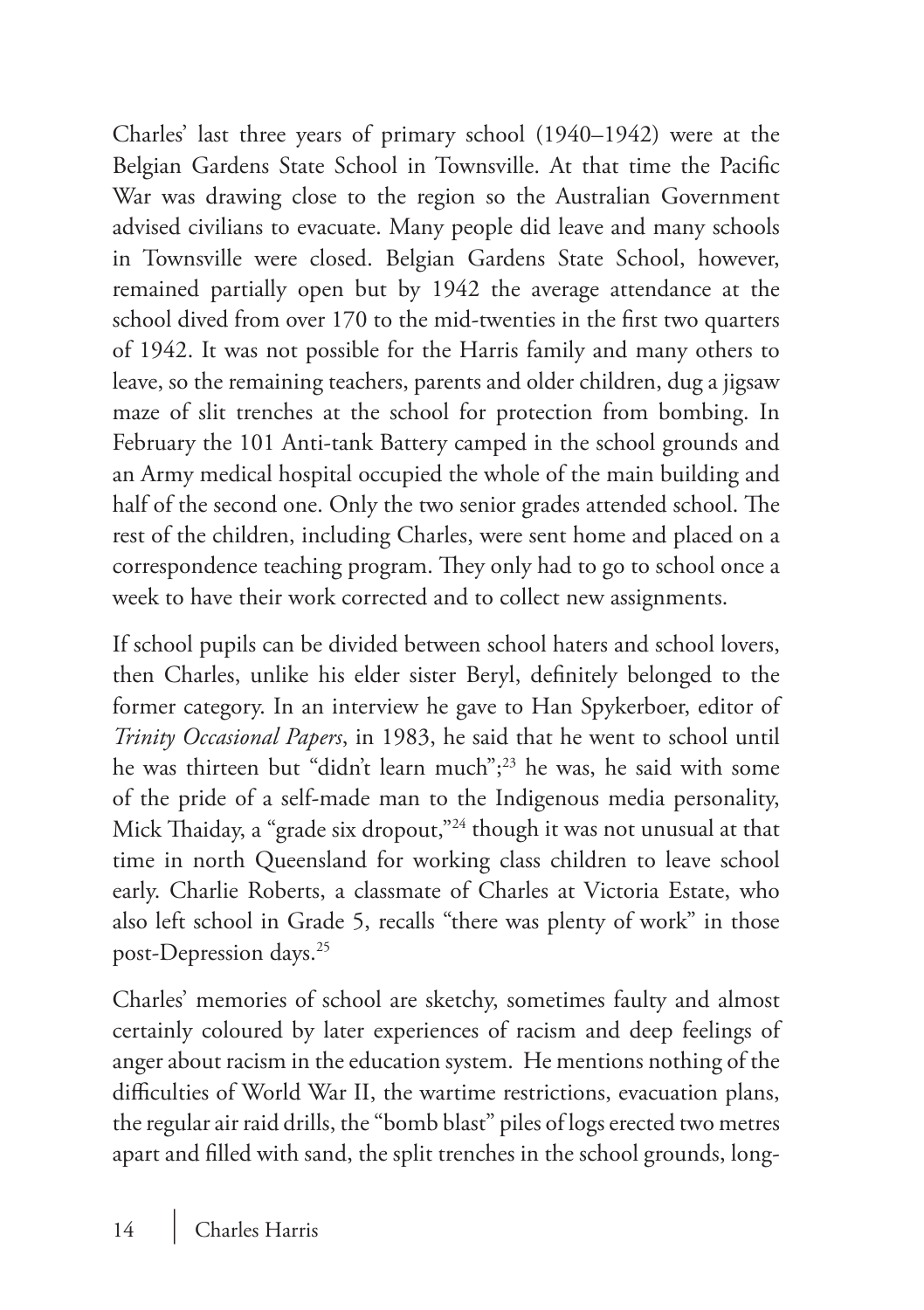Charles' last three years of primary school (1940–1942) were at the Belgian Gardens State School in Townsville. At that time the Pacific War was drawing close to the region so the Australian Government advised civilians to evacuate. Many people did leave and many schools in Townsville were closed. Belgian Gardens State School, however, remained partially open but by 1942 the average attendance at the school dived from over 170 to the mid-twenties in the first two quarters of 1942. It was not possible for the Harris family and many others to leave, so the remaining teachers, parents and older children, dug a jigsaw maze of slit trenches at the school for protection from bombing. In February the 101 Anti-tank Battery camped in the school grounds and an Army medical hospital occupied the whole of the main building and half of the second one. Only the two senior grades attended school. The rest of the children, including Charles, were sent home and placed on a correspondence teaching program. They only had to go to school once a week to have their work corrected and to collect new assignments.

If school pupils can be divided between school haters and school lovers, then Charles, unlike his elder sister Beryl, definitely belonged to the former category. In an interview he gave to Han Spykerboer, editor of *Trinity Occasional Papers*, in 1983, he said that he went to school until he was thirteen but "didn't learn much";<sup>23</sup> he was, he said with some of the pride of a self-made man to the Indigenous media personality, Mick Thaiday, a "grade six dropout,"24 though it was not unusual at that time in north Queensland for working class children to leave school early. Charlie Roberts, a classmate of Charles at Victoria Estate, who also left school in Grade 5, recalls "there was plenty of work" in those post-Depression days.25

Charles' memories of school are sketchy, sometimes faulty and almost certainly coloured by later experiences of racism and deep feelings of anger about racism in the education system. He mentions nothing of the difficulties of World War II, the wartime restrictions, evacuation plans, the regular air raid drills, the "bomb blast" piles of logs erected two metres apart and filled with sand, the split trenches in the school grounds, long-